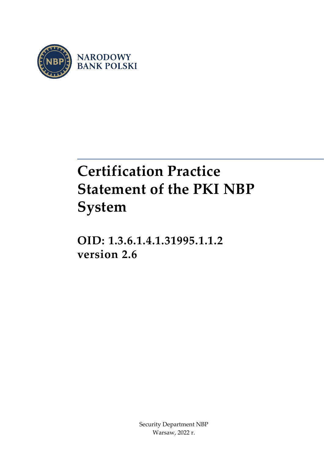

# **Certification Practice Statement of the PKI NBP System**

**OID: 1.3.6.1.4.1.31995.1.1.2 version 2.6**

> Security Department NBP Warsaw, 2022 r.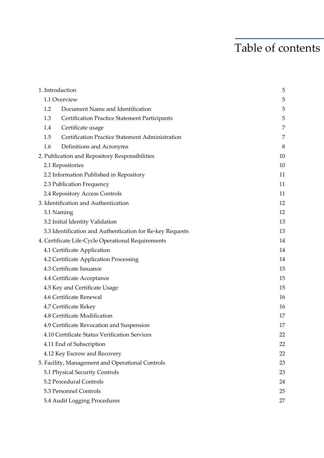## Table of contents

| 1. Introduction               |                                                           | 5  |
|-------------------------------|-----------------------------------------------------------|----|
| 1.1 Overview                  |                                                           | 5  |
| 1.2                           | Document Name and Identification                          | 5  |
| 1.3                           | <b>Certification Practice Statement Participants</b>      | 5  |
| 1.4                           | Certificate usage                                         | 7  |
| 1.5                           | Certification Practice Statement Administration           | 7  |
| 1.6                           | Definitions and Acronyms                                  | 8  |
|                               | 2. Publication and Repository Responsibilities            | 10 |
| 2.1 Repositories              |                                                           | 10 |
|                               | 2.2 Information Published in Repository                   | 11 |
| 2.3 Publication Frequency     |                                                           | 11 |
|                               | 2.4 Repository Access Controls                            | 11 |
|                               | 3. Identification and Authentication                      | 12 |
| 3.1 Naming                    |                                                           | 12 |
|                               | 3.2 Initial Identity Validation                           | 13 |
|                               | 3.3 Identification and Authentication for Re-key Requests | 13 |
|                               | 4. Certificate Life-Cycle Operational Requirements        | 14 |
| 4.1 Certificate Application   |                                                           | 14 |
|                               | 4.2 Certificate Application Processing                    | 14 |
| 4.3 Certificate Issuance      |                                                           | 15 |
| 4.4 Certificate Acceptance    |                                                           | 15 |
| 4.5 Key and Certificate Usage |                                                           | 15 |
| 4.6 Certificate Renewal       |                                                           | 16 |
| 4.7 Certificate Rekey         |                                                           | 16 |
| 4.8 Certificate Modification  |                                                           | 17 |
|                               | 4.9 Certificate Revocation and Suspension                 | 17 |
|                               | 4.10 Certificate Status Verification Services             | 22 |
| 4.11 End of Subscription      |                                                           | 22 |
|                               | 4.12 Key Escrow and Recovery                              | 22 |
|                               | 5. Facility, Management and Operational Controls          | 23 |
|                               | 5.1 Physical Security Controls                            | 23 |
| 5.2 Procedural Controls       |                                                           | 24 |
| 5.3 Personnel Controls        |                                                           | 25 |
|                               | 5.4 Audit Logging Procedures                              | 27 |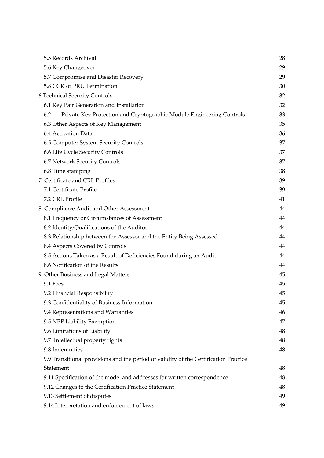| 5.5 Records Archival                                                                 | 28 |
|--------------------------------------------------------------------------------------|----|
| 5.6 Key Changeover                                                                   | 29 |
| 5.7 Compromise and Disaster Recovery                                                 | 29 |
| 5.8 CCK or PRU Termination                                                           | 30 |
| 6 Technical Security Controls                                                        | 32 |
| 6.1 Key Pair Generation and Installation                                             | 32 |
| 6.2<br>Private Key Protection and Cryptographic Module Engineering Controls          | 33 |
| 6.3 Other Aspects of Key Management                                                  | 35 |
| 6.4 Activation Data                                                                  | 36 |
| 6.5 Computer System Security Controls                                                | 37 |
| 6.6 Life Cycle Security Controls                                                     | 37 |
| 6.7 Network Security Controls                                                        | 37 |
| 6.8 Time stamping                                                                    | 38 |
| 7. Certificate and CRL Profiles                                                      | 39 |
| 7.1 Certificate Profile                                                              | 39 |
| 7.2 CRL Profile                                                                      | 41 |
| 8. Compliance Audit and Other Assessment                                             | 44 |
| 8.1 Frequency or Circumstances of Assessment                                         | 44 |
| 8.2 Identity/Qualifications of the Auditor                                           | 44 |
| 8.3 Relationship between the Assessor and the Entity Being Assessed                  | 44 |
| 8.4 Aspects Covered by Controls                                                      | 44 |
| 8.5 Actions Taken as a Result of Deficiencies Found during an Audit                  | 44 |
| 8.6 Notification of the Results                                                      | 44 |
| 9. Other Business and Legal Matters                                                  | 45 |
| 9.1 Fees                                                                             | 45 |
| 9.2 Financial Responsibility                                                         | 45 |
| 9.3 Confidentiality of Business Information                                          | 45 |
| 9.4 Representations and Warranties                                                   | 46 |
| 9.5 NBP Liability Exemption                                                          | 47 |
| 9.6 Limitations of Liability                                                         | 48 |
| 9.7 Intellectual property rights                                                     | 48 |
| 9.8 Indemnities                                                                      | 48 |
| 9.9 Transitional provisions and the period of validity of the Certification Practice |    |
| Statement                                                                            | 48 |
| 9.11 Specification of the mode and addresses for written correspondence              | 48 |
| 9.12 Changes to the Certification Practice Statement                                 | 48 |
| 9.13 Settlement of disputes                                                          | 49 |
| 9.14 Interpretation and enforcement of laws                                          | 49 |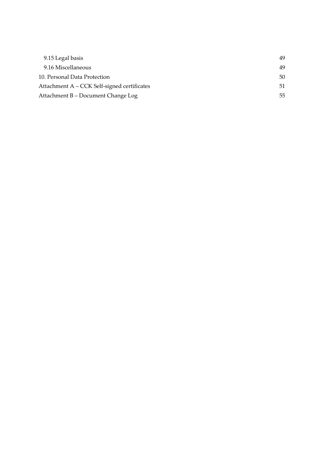| 9.15 Legal basis                            | 49 |
|---------------------------------------------|----|
| 9.16 Miscellaneous                          | 49 |
| 10. Personal Data Protection                | 50 |
| Attachment A - CCK Self-signed certificates | 51 |
| Attachment B - Document Change Log          | 55 |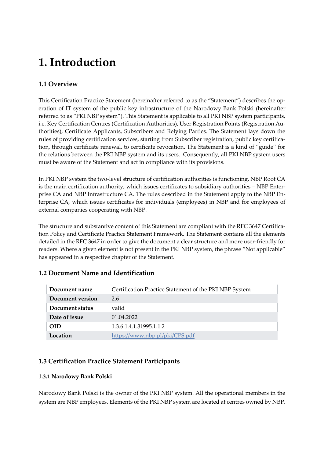## <span id="page-5-0"></span>**1. Introduction**

## <span id="page-5-1"></span>**1.1 Overview**

This Certification Practice Statement (hereinafter referred to as the "Statement") describes the operation of IT system of the public key infrastructure of the Narodowy Bank Polski (hereinafter referred to as "PKI NBP system"). This Statement is applicable to all PKI NBP system participants, i.e. Key Certification Centres (Certification Authorities), User Registration Points (Registration Authorities), Certificate Applicants, Subscribers and Relying Parties. The Statement lays down the rules of providing certification services, starting from Subscriber registration, public key certification, through certificate renewal, to certificate revocation. The Statement is a kind of "guide" for the relations between the PKI NBP system and its users. Consequently, all PKI NBP system users must be aware of the Statement and act in compliance with its provisions.

In PKI NBP system the two-level structure of certification authorities is functioning. NBP Root CA is the main certification authority, which issues certificates to subsidiary authorities – NBP Enterprise CA and NBP Infrastructure CA. The rules described in the Statement apply to the NBP Enterprise CA, which issues certificates for individuals (employees) in NBP and for employees of external companies cooperating with NBP.

The structure and substantive content of this Statement are compliant with the RFC 3647 Certification Policy and Certificate Practice Statement Framework. The Statement contains all the elements detailed in the RFC 3647 in order to give the document a clear structure and more user-friendly for readers. Where a given element is not present in the PKI NBP system, the phrase "Not applicable" has appeared in a respective chapter of the Statement.

## <span id="page-5-2"></span>**1.2 Document Name and Identification**

| Document name    | Certification Practice Statement of the PKI NBP System |
|------------------|--------------------------------------------------------|
| Document version | 2.6                                                    |
| Document status  | valid                                                  |
| Date of issue    | 01.04.2022                                             |
| OID              | 1.3.6.1.4.1.31995.1.1.2                                |
| Location         | https://www.nbp.pl/pki/CPS.pdf                         |

## <span id="page-5-3"></span>**1.3 Certification Practice Statement Participants**

#### **1.3.1 Narodowy Bank Polski**

Narodowy Bank Polski is the owner of the PKI NBP system. All the operational members in the system are NBP employees. Elements of the PKI NBP system are located at centres owned by NBP.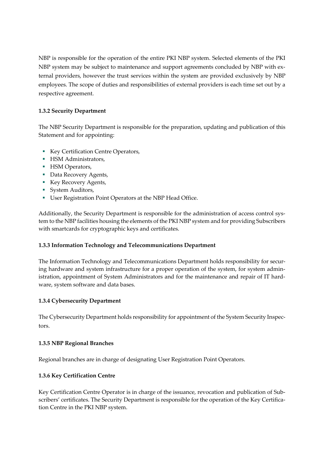NBP is responsible for the operation of the entire PKI NBP system. Selected elements of the PKI NBP system may be subject to maintenance and support agreements concluded by NBP with external providers, however the trust services within the system are provided exclusively by NBP employees. The scope of duties and responsibilities of external providers is each time set out by a respective agreement.

## **1.3.2 Security Department**

The NBP Security Department is responsible for the preparation, updating and publication of this Statement and for appointing:

- **Key Certification Centre Operators,**
- **HSM Administrators,**
- **HSM Operators,**
- Data Recovery Agents,
- Key Recovery Agents,
- System Auditors,
- User Registration Point Operators at the NBP Head Office.

Additionally, the Security Department is responsible for the administration of access control system to the NBP facilities housing the elements of the PKI NBP system and for providing Subscribers with smartcards for cryptographic keys and certificates.

## **1.3.3 Information Technology and Telecommunications Department**

The Information Technology and Telecommunications Department holds responsibility for securing hardware and system infrastructure for a proper operation of the system, for system administration, appointment of System Administrators and for the maintenance and repair of IT hardware, system software and data bases.

## **1.3.4 Cybersecurity Department**

The Cybersecurity Department holds responsibility for appointment of the System Security Inspectors.

#### **1.3.5 NBP Regional Branches**

Regional branches are in charge of designating User Registration Point Operators.

## **1.3.6 Key Certification Centre**

Key Certification Centre Operator is in charge of the issuance, revocation and publication of Subscribers' certificates. The Security Department is responsible for the operation of the Key Certification Centre in the PKI NBP system.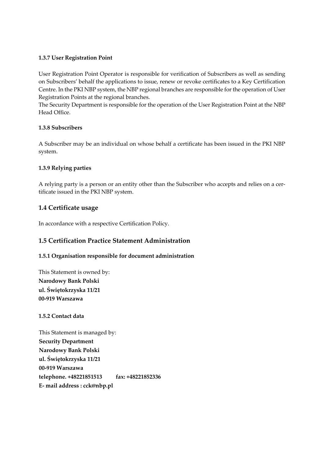#### **1.3.7 User Registration Point**

User Registration Point Operator is responsible for verification of Subscribers as well as sending on Subscribers' behalf the applications to issue, renew or revoke certificates to a Key Certification Centre. In the PKI NBP system, the NBP regional branches are responsible for the operation of User Registration Points at the regional branches.

The Security Department is responsible for the operation of the User Registration Point at the NBP Head Office.

#### **1.3.8 Subscribers**

A Subscriber may be an individual on whose behalf a certificate has been issued in the PKI NBP system.

#### **1.3.9 Relying parties**

A relying party is a person or an entity other than the Subscriber who accepts and relies on a certificate issued in the PKI NBP system.

#### <span id="page-7-0"></span>**1.4 Certificate usage**

In accordance with a respective Certification Policy.

## <span id="page-7-1"></span>**1.5 Certification Practice Statement Administration**

#### **1.5.1 Organisation responsible for document administration**

This Statement is owned by: **Narodowy Bank Polski ul. Świętokrzyska 11/21 00-919 Warszawa**

**1.5.2 Contact data**

This Statement is managed by: **Security Department Narodowy Bank Polski ul. Świętokrzyska 11/21 00-919 Warszawa telephone. +48221851513 fax: +48221852336 E- mail address : cck@nbp.pl**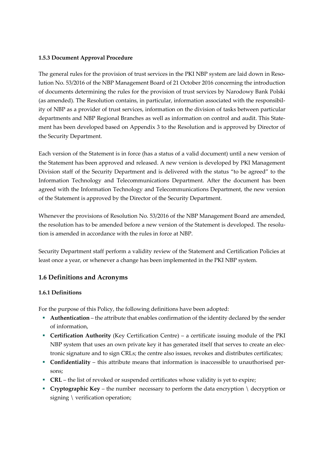#### **1.5.3 Document Approval Procedure**

The general rules for the provision of trust services in the PKI NBP system are laid down in Resolution No. 53/2016 of the NBP Management Board of 21 October 2016 concerning the introduction of documents determining the rules for the provision of trust services by Narodowy Bank Polski (as amended). The Resolution contains, in particular, information associated with the responsibility of NBP as a provider of trust services, information on the division of tasks between particular departments and NBP Regional Branches as well as information on control and audit. This Statement has been developed based on Appendix 3 to the Resolution and is approved by Director of the Security Department.

Each version of the Statement is in force (has a status of a valid document) until a new version of the Statement has been approved and released. A new version is developed by PKI Management Division staff of the Security Department and is delivered with the status "to be agreed" to the Information Technology and Telecommunications Department. After the document has been agreed with the Information Technology and Telecommunications Department, the new version of the Statement is approved by the Director of the Security Department.

Whenever the provisions of Resolution No. 53/2016 of the NBP Management Board are amended, the resolution has to be amended before a new version of the Statement is developed. The resolution is amended in accordance with the rules in force at NBP.

Security Department staff perform a validity review of the Statement and Certification Policies at least once a year, or whenever a change has been implemented in the PKI NBP system.

## <span id="page-8-0"></span>**1.6 Definitions and Acronyms**

#### **1.6.1 Definitions**

For the purpose of this Policy, the following definitions have been adopted:

- **Authentication** the attribute that enables confirmation of the identity declared by the sender of information,
- **Certification Authority** (Key Certification Centre) a certificate issuing module of the PKI NBP system that uses an own private key it has generated itself that serves to create an electronic signature and to sign CRLs; the centre also issues, revokes and distributes certificates;
- **Confidentiality** this attribute means that information is inaccessible to unauthorised persons;
- **CRL** the list of revoked or suspended certificates whose validity is yet to expire;
- **Cryptographic Key** the number necessary to perform the data encryption \ decryption or signing \ verification operation;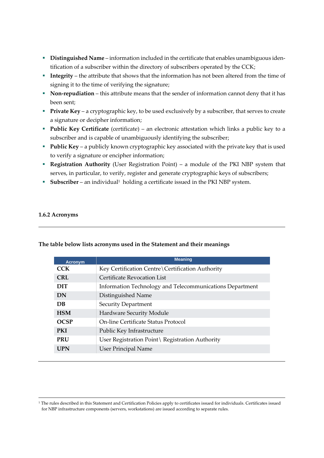- **Distinguished Name** information included in the certificate that enables unambiguous identification of a subscriber within the directory of subscribers operated by the CCK;
- **Integrity** the attribute that shows that the information has not been altered from the time of signing it to the time of verifying the signature;
- **Non-repudiation** this attribute means that the sender of information cannot deny that it has been sent;
- **Private Key** a cryptographic key, to be used exclusively by a subscriber, that serves to create a signature or decipher information;
- **Public Key Certificate** (certificate) an electronic attestation which links a public key to a subscriber and is capable of unambiguously identifying the subscriber;
- **Public Key** a publicly known cryptographic key associated with the private key that is used to verify a signature or encipher information;
- **Registration Authority** (User Registration Point) a module of the PKI NBP system that serves, in particular, to verify, register and generate cryptographic keys of subscribers;
- **Subscriber** an individual<sup>1</sup> holding a certificate issued in the PKI NBP system.

#### **1.6.2 Acronyms**

| <b>Acronym</b> | <b>Meaning</b>                                           |
|----------------|----------------------------------------------------------|
| <b>CCK</b>     | Key Certification Centre \ Certification Authority       |
| CRL            | <b>Certificate Revocation List</b>                       |
| <b>DIT</b>     | Information Technology and Telecommunications Department |
| DN             | Distinguished Name                                       |
| <b>DB</b>      | Security Department                                      |
| <b>HSM</b>     | Hardware Security Module                                 |
| <b>OCSP</b>    | On-line Certificate Status Protocol                      |
| <b>PKI</b>     | Public Key Infrastructure                                |
| <b>PRU</b>     | User Registration Point \ Registration Authority         |
| <b>UPN</b>     | User Principal Name                                      |

#### **The table below lists acronyms used in the Statement and their meanings**

<sup>1</sup> The rules described in this Statement and Certification Policies apply to certificates issued for individuals. Certificates issued for NBP infrastructure components (servers, workstations) are issued according to separate rules.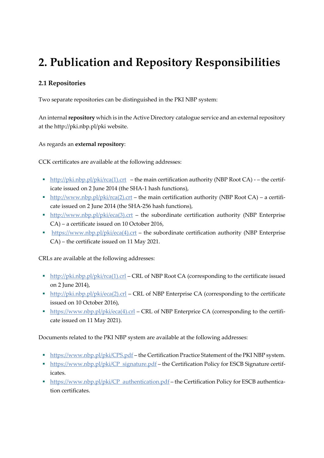## <span id="page-10-0"></span>**2. Publication and Repository Responsibilities**

## <span id="page-10-1"></span>**2.1 Repositories**

Two separate repositories can be distinguished in the PKI NBP system:

An internal **repository** which is in the Active Directory catalogue service and an external repository at the http://pki.nbp.pl/pki website.

As regards an **external repository**:

CCK certificates are available at the following addresses:

- [http://pki.nbp.pl/pki/rca\(1\).crt](http://pki.nbp.pl/pki/rca(1).crt) the main certification authority (NBP Root CA) – the certificate issued on 2 June 2014 (the SHA-1 hash functions),
- [http://www.nbp.pl/pki/rca\(2\).crt](http://www.nbp.pl/pki/rca(2).crt) the main certification authority (NBP Root CA) a certificate issued on 2 June 2014 (the SHA-256 hash functions),
- $\blacksquare$  [http://www.nbp.pl/pki/eca\(3\).crt](http://www.nbp.pl/pki/eca(3).crt) the subordinate certification authority (NBP Enterprise CA) – a certificate issued on 10 October 2016,
- [https://www.nbp.pl/pki/eca\(4\).crt](https://www.nbp.pl/pki/eca(4).crt) the subordinate certification authority (NBP Enterprise CA) – the certificate issued on 11 May 2021.

CRLs are available at the following addresses:

- [http://pki.nbp.pl/pki/rca\(1\).crl](http://pki.nbp.pl/pki/rca(1).crl) CRL of NBP Root CA (corresponding to the certificate issued on 2 June 2014),
- [http://pki.nbp.pl/pki/eca\(2\).crl](http://pki.nbp.pl/pki/eca(2).crl) CRL of NBP Enterprise CA (corresponding to the certificate issued on 10 October 2016),
- [https://www.nbp.pl/pki/eca\(4\).crl](https://www.nbp.pl/pki/eca(4).crl) CRL of NBP Enterprice CA (corresponding to the certificate issued on 11 May 2021).

Documents related to the PKI NBP system are available at the following addresses:

- <https://www.nbp.pl/pki/CPS.pdf> the Certification Practice Statement of the PKI NBP system.
- **Intips://www.nbp.pl/pki/CP\_signature.pdf the Certification Policy for ESCB Signature certif**icates.
- **Intips://www.nbp.pl/pki/CP\_authentication.pdf the Certification Policy for ESCB authentica**tion certificates.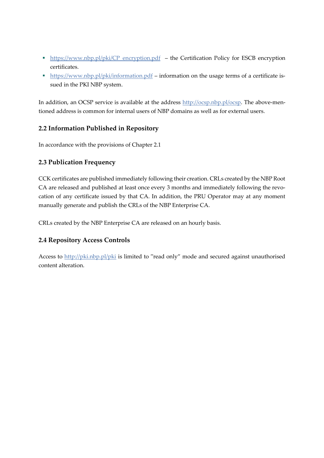- **EXECU Https://www.nbp.pl/pki/CP\_encryption.pdf** the Certification Policy for ESCB encryption certificates.
- <https://www.nbp.pl/pki/information.pdf> information on the usage terms of a certificate issued in the PKI NBP system.

In addition, an OCSP service is available at the address [http://ocsp.nbp.pl/ocsp.](http://ocsp.nbp.pl/ocsp) The above-mentioned address is common for internal users of NBP domains as well as for external users.

## <span id="page-11-0"></span>**2.2 Information Published in Repository**

In accordance with the provisions of Chapter 2.1

## <span id="page-11-1"></span>**2.3 Publication Frequency**

CCK certificates are published immediately following their creation. CRLs created by the NBP Root CA are released and published at least once every 3 months and immediately following the revocation of any certificate issued by that CA. In addition, the PRU Operator may at any moment manually generate and publish the CRLs of the NBP Enterprise CA.

CRLs created by the NBP Enterprise CA are released on an hourly basis.

## <span id="page-11-2"></span>**2.4 Repository Access Controls**

Access to<http://pki.nbp.pl/pki> is limited to "read only" mode and secured against unauthorised content alteration.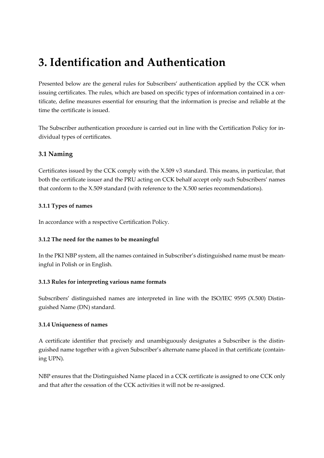## <span id="page-12-0"></span>**3. Identification and Authentication**

Presented below are the general rules for Subscribers' authentication applied by the CCK when issuing certificates. The rules, which are based on specific types of information contained in a certificate, define measures essential for ensuring that the information is precise and reliable at the time the certificate is issued.

The Subscriber authentication procedure is carried out in line with the Certification Policy for individual types of certificates.

## <span id="page-12-1"></span>**3.1 Naming**

Certificates issued by the CCK comply with the X.509 v3 standard. This means, in particular, that both the certificate issuer and the PRU acting on CCK behalf accept only such Subscribers' names that conform to the X.509 standard (with reference to the X.500 series recommendations).

#### **3.1.1 Types of names**

In accordance with a respective Certification Policy.

## **3.1.2 The need for the names to be meaningful**

In the PKI NBP system, all the names contained in Subscriber's distinguished name must be meaningful in Polish or in English.

#### **3.1.3 Rules for interpreting various name formats**

Subscribers' distinguished names are interpreted in line with the ISO/IEC 9595 (X.500) Distinguished Name (DN) standard.

#### **3.1.4 Uniqueness of names**

A certificate identifier that precisely and unambiguously designates a Subscriber is the distinguished name together with a given Subscriber's alternate name placed in that certificate (containing UPN).

NBP ensures that the Distinguished Name placed in a CCK certificate is assigned to one CCK only and that after the cessation of the CCK activities it will not be re-assigned.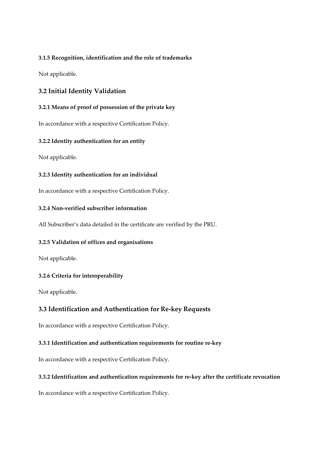#### **3.1.5 Recognition, identification and the role of trademarks**

Not applicable.

## <span id="page-13-0"></span>**3.2 Initial Identity Validation**

#### **3.2.1 Means of proof of possession of the private key**

In accordance with a respective Certification Policy.

#### **3.2.2 Identity authentication for an entity**

Not applicable.

#### **3.2.3 Identity authentication for an individual**

In accordance with a respective Certification Policy.

### **3.2.4 Non-verified subscriber information**

All Subscriber's data detailed in the certificate are verified by the PRU.

#### **3.2.5 Validation of offices and organisations**

Not applicable.

## **3.2.6 Criteria for interoperability**

Not applicable.

## <span id="page-13-1"></span>**3.3 Identification and Authentication for Re-key Requests**

In accordance with a respective Certification Policy.

#### **3.3.1 Identification and authentication requirements for routine re-key**

In accordance with a respective Certification Policy.

#### **3.3.2 Identification and authentication requirements for re-key after the certificate revocation**

In accordance with a respective Certification Policy.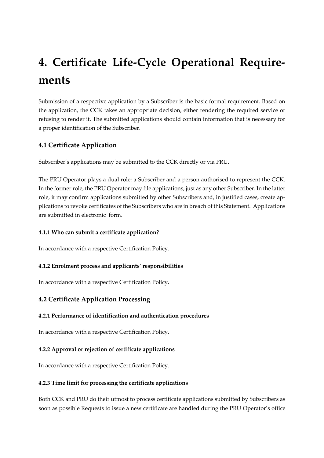## <span id="page-14-0"></span>**4. Certificate Life-Cycle Operational Requirements**

Submission of a respective application by a Subscriber is the basic formal requirement. Based on the application, the CCK takes an appropriate decision, either rendering the required service or refusing to render it. The submitted applications should contain information that is necessary for a proper identification of the Subscriber.

## <span id="page-14-1"></span>**4.1 Certificate Application**

Subscriber's applications may be submitted to the CCK directly or via PRU.

The PRU Operator plays a dual role: a Subscriber and a person authorised to represent the CCK. In the former role, the PRU Operator may file applications, just as any other Subscriber. In the latter role, it may confirm applications submitted by other Subscribers and, in justified cases, create applications to revoke certificates of the Subscribers who are in breach of this Statement. Applications are submitted in electronic form.

### **4.1.1 Who can submit a certificate application?**

In accordance with a respective Certification Policy.

## **4.1.2 Enrolment process and applicants' responsibilities**

In accordance with a respective Certification Policy.

## <span id="page-14-2"></span>**4.2 Certificate Application Processing**

## **4.2.1 Performance of identification and authentication procedures**

In accordance with a respective Certification Policy.

## **4.2.2 Approval or rejection of certificate applications**

In accordance with a respective Certification Policy.

#### **4.2.3 Time limit for processing the certificate applications**

Both CCK and PRU do their utmost to process certificate applications submitted by Subscribers as soon as possible Requests to issue a new certificate are handled during the PRU Operator's office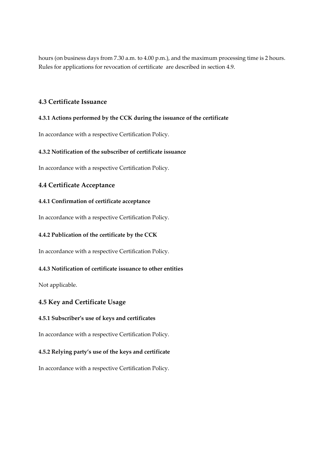hours (on business days from 7.30 a.m. to 4.00 p.m.), and the maximum processing time is 2 hours. Rules for applications for revocation of certificate are described in section 4.9.

### <span id="page-15-0"></span>**4.3 Certificate Issuance**

#### **4.3.1 Actions performed by the CCK during the issuance of the certificate**

In accordance with a respective Certification Policy.

#### **4.3.2 Notification of the subscriber of certificate issuance**

In accordance with a respective Certification Policy.

## <span id="page-15-1"></span>**4.4 Certificate Acceptance**

#### **4.4.1 Confirmation of certificate acceptance**

In accordance with a respective Certification Policy.

#### **4.4.2 Publication of the certificate by the CCK**

In accordance with a respective Certification Policy.

#### **4.4.3 Notification of certificate issuance to other entities**

Not applicable.

#### <span id="page-15-2"></span>**4.5 Key and Certificate Usage**

#### **4.5.1 Subscriber's use of keys and certificates**

In accordance with a respective Certification Policy.

#### **4.5.2 Relying party's use of the keys and certificate**

In accordance with a respective Certification Policy.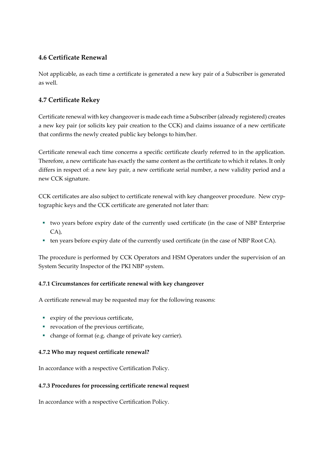## <span id="page-16-0"></span>**4.6 Certificate Renewal**

Not applicable, as each time a certificate is generated a new key pair of a Subscriber is generated as well.

## <span id="page-16-1"></span>**4.7 Certificate Rekey**

Certificate renewal with key changeover is made each time a Subscriber (already registered) creates a new key pair (or solicits key pair creation to the CCK) and claims issuance of a new certificate that confirms the newly created public key belongs to him/her.

Certificate renewal each time concerns a specific certificate clearly referred to in the application. Therefore, a new certificate has exactly the same content as the certificate to which it relates. It only differs in respect of: a new key pair, a new certificate serial number, a new validity period and a new CCK signature.

CCK certificates are also subject to certificate renewal with key changeover procedure. New cryptographic keys and the CCK certificate are generated not later than:

- two years before expiry date of the currently used certificate (in the case of NBP Enterprise CA),
- ten years before expiry date of the currently used certificate (in the case of NBP Root CA).

The procedure is performed by CCK Operators and HSM Operators under the supervision of an System Security Inspector of the PKI NBP system.

## **4.7.1 Circumstances for certificate renewal with key changeover**

A certificate renewal may be requested may for the following reasons:

- expiry of the previous certificate,
- revocation of the previous certificate,
- change of format (e.g. change of private key carrier).

## **4.7.2 Who may request certificate renewal?**

In accordance with a respective Certification Policy.

## **4.7.3 Procedures for processing certificate renewal request**

In accordance with a respective Certification Policy.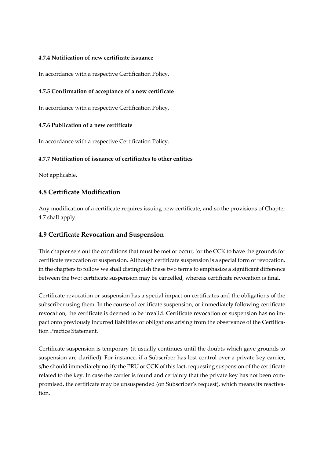#### **4.7.4 Notification of new certificate issuance**

In accordance with a respective Certification Policy.

#### **4.7.5 Confirmation of acceptance of a new certificate**

In accordance with a respective Certification Policy.

#### **4.7.6 Publication of a new certificate**

In accordance with a respective Certification Policy.

#### **4.7.7 Notification of issuance of certificates to other entities**

Not applicable.

#### <span id="page-17-0"></span>**4.8 Certificate Modification**

Any modification of a certificate requires issuing new certificate, and so the provisions of Chapter 4.7 shall apply.

#### <span id="page-17-1"></span>**4.9 Certificate Revocation and Suspension**

This chapter sets out the conditions that must be met or occur, for the CCK to have the grounds for certificate revocation or suspension. Although certificate suspension is a special form of revocation, in the chapters to follow we shall distinguish these two terms to emphasize a significant difference between the two: certificate suspension may be cancelled, whereas certificate revocation is final.

Certificate revocation or suspension has a special impact on certificates and the obligations of the subscriber using them. In the course of certificate suspension, or immediately following certificate revocation, the certificate is deemed to be invalid. Certificate revocation or suspension has no impact onto previously incurred liabilities or obligations arising from the observance of the Certification Practice Statement.

Certificate suspension is temporary (it usually continues until the doubts which gave grounds to suspension are clarified). For instance, if a Subscriber has lost control over a private key carrier, s/he should immediately notify the PRU or CCK of this fact, requesting suspension of the certificate related to the key. In case the carrier is found and certainty that the private key has not been compromised, the certificate may be unsuspended (on Subscriber's request), which means its reactivation.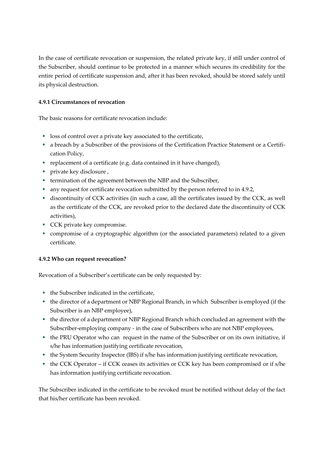In the case of certificate revocation or suspension, the related private key, if still under control of the Subscriber, should continue to be protected in a manner which secures its credibility for the entire period of certificate suspension and, after it has been revoked, should be stored safely until its physical destruction.

### **4.9.1 Circumstances of revocation**

The basic reasons for certificate revocation include:

- loss of control over a private key associated to the certificate,
- a breach by a Subscriber of the provisions of the Certification Practice Statement or a Certification Policy,
- replacement of a certificate (e.g. data contained in it have changed),
- private key disclosure ,
- termination of the agreement between the NBP and the Subscriber,
- any request for certificate revocation submitted by the person referred to in 4.9.2,
- discontinuity of CCK activities (in such a case, all the certificates issued by the CCK, as well as the certificate of the CCK, are revoked prior to the declared date the discontinuity of CCK activities),
- **CCK private key compromise.**
- compromise of a cryptographic algorithm (or the associated parameters) related to a given certificate.

## **4.9.2 Who can request revocation?**

Revocation of a Subscriber's certificate can be only requested by:

- the Subscriber indicated in the certificate,
- the director of a department or NBP Regional Branch, in which Subscriber is employed (if the Subscriber is an NBP employee),
- the director of a department or NBP Regional Branch which concluded an agreement with the Subscriber-employing company - in the case of Subscribers who are not NBP employees,
- the PRU Operator who can request in the name of the Subscriber or on its own initiative, if s/he has information justifying certificate revocation,
- the System Security Inspector (IBS) if s/he has information justifying certificate revocation,
- the CCK Operator if CCK ceases its activities or CCK key has been compromised or if s/he has information justifying certificate revocation.

The Subscriber indicated in the certificate to be revoked must be notified without delay of the fact that his/her certificate has been revoked.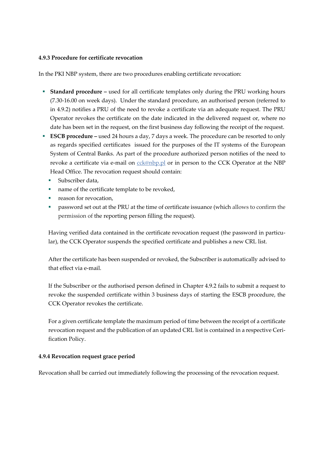#### **4.9.3 Procedure for certificate revocation**

In the PKI NBP system, there are two procedures enabling certificate revocation:

- **Standard procedure -** used for all certificate templates only during the PRU working hours (7.30-16.00 on week days). Under the standard procedure, an authorised person (referred to in 4.9.2) notifies a PRU of the need to revoke a certificate via an adequate request. The PRU Operator revokes the certificate on the date indicated in the delivered request or, where no date has been set in the request, on the first business day following the receipt of the request.
- **ESCB** procedure used 24 hours a day, 7 days a week. The procedure can be resorted to only as regards specified certificates issued for the purposes of the IT systems of the European System of Central Banks. As part of the procedure authorized person notifies of the need to revoke a certificate via e-mail on color comparison to the CCK Operator at the NBP Head Office. The revocation request should contain:
	- Subscriber data,
	- name of the certificate template to be revoked,
	- reason for revocation,
	- **•** password set out at the PRU at the time of certificate issuance (which allows to confirm the permission of the reporting person filling the request).

Having verified data contained in the certificate revocation request (the password in particular), the CCK Operator suspends the specified certificate and publishes a new CRL list.

After the certificate has been suspended or revoked, the Subscriber is automatically advised to that effect via e-mail.

If the Subscriber or the authorised person defined in Chapter 4.9.2 fails to submit a request to revoke the suspended certificate within 3 business days of starting the ESCB procedure, the CCK Operator revokes the certificate.

For a given certificate template the maximum period of time between the receipt of a certificate revocation request and the publication of an updated CRL list is contained in a respective Cerification Policy.

#### **4.9.4 Revocation request grace period**

Revocation shall be carried out immediately following the processing of the revocation request.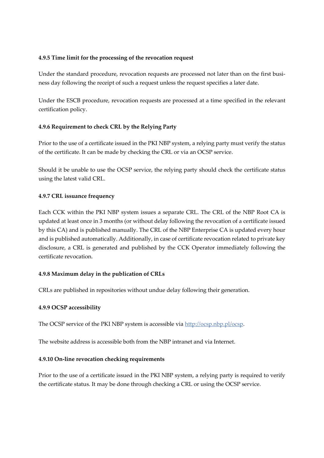#### **4.9.5 Time limit for the processing of the revocation request**

Under the standard procedure, revocation requests are processed not later than on the first business day following the receipt of such a request unless the request specifies a later date.

Under the ESCB procedure, revocation requests are processed at a time specified in the relevant certification policy.

#### **4.9.6 Requirement to check CRL by the Relying Party**

Prior to the use of a certificate issued in the PKI NBP system, a relying party must verify the status of the certificate. It can be made by checking the CRL or via an OCSP service.

Should it be unable to use the OCSP service, the relying party should check the certificate status using the latest valid CRL.

#### **4.9.7 CRL issuance frequency**

Each CCK within the PKI NBP system issues a separate CRL. The CRL of the NBP Root CA is updated at least once in 3 months (or without delay following the revocation of a certificate issued by this CA) and is published manually. The CRL of the NBP Enterprise CA is updated every hour and is published automatically. Additionally, in case of certificate revocation related to private key disclosure, a CRL is generated and published by the CCK Operator immediately following the certificate revocation.

#### **4.9.8 Maximum delay in the publication of CRLs**

CRLs are published in repositories without undue delay following their generation.

#### **4.9.9 OCSP accessibility**

The OCSP service of the PKI NBP system is accessible vi[a http://ocsp.nbp.pl/ocsp.](http://ocsp.nbp.pl/ocsp)

The website address is accessible both from the NBP intranet and via Internet.

#### **4.9.10 On-line revocation checking requirements**

Prior to the use of a certificate issued in the PKI NBP system, a relying party is required to verify the certificate status. It may be done through checking a CRL or using the OCSP service.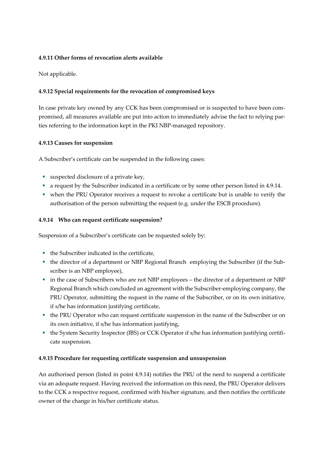#### **4.9.11 Other forms of revocation alerts available**

Not applicable.

#### **4.9.12 Special requirements for the revocation of compromised keys**

In case private key owned by any CCK has been compromised or is suspected to have been compromised, all measures available are put into action to immediately advise the fact to relying parties referring to the information kept in the PKI NBP-managed repository.

#### **4.9.13 Causes for suspension**

A Subscriber's certificate can be suspended in the following cases:

- suspected disclosure of a private key,
- a request by the Subscriber indicated in a certificate or by some other person listed in 4.9.14.
- when the PRU Operator receives a request to revoke a certificate but is unable to verify the authorisation of the person submitting the request (e.g. under the ESCB procedure).

#### **4.9.14 Who can request certificate suspension?**

Suspension of a Subscriber's certificate can be requested solely by:

- the Subscriber indicated in the certificate,
- the director of a department or NBP Regional Branch employing the Subscriber (if the Subscriber is an NBP employee),
- in the case of Subscribers who are not NBP employees the director of a department or NBP Regional Branch which concluded an agreement with the Subscriber-employing company, the PRU Operator, submitting the request in the name of the Subscriber, or on its own initiative, if s/he has information justifying certificate,
- the PRU Operator who can request certificate suspension in the name of the Subscriber or on its own initiative, if s/he has information justifying,
- the System Security Inspector (IBS) or CCK Operator if s/he has information justifying certificate suspension.

#### **4.9.15 Procedure for requesting certificate suspension and unsuspension**

An authorised person (listed in point 4.9.14) notifies the PRU of the need to suspend a certificate via an adequate request. Having received the information on this need, the PRU Operator delivers to the CCK a respective request, confirmed with his/her signature, and then notifies the certificate owner of the change in his/her certificate status.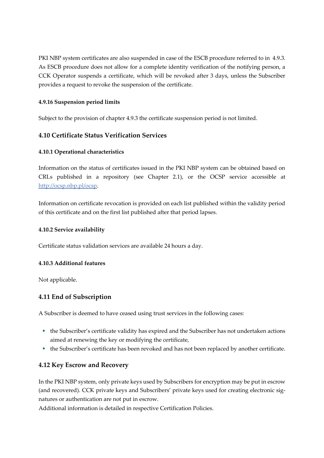PKI NBP system certificates are also suspended in case of the ESCB procedure referred to in 4.9.3. As ESCB procedure does not allow for a complete identity verification of the notifying person, a CCK Operator suspends a certificate, which will be revoked after 3 days, unless the Subscriber provides a request to revoke the suspension of the certificate.

#### **4.9.16 Suspension period limits**

Subject to the provision of chapter 4.9.3 the certificate suspension period is not limited.

## <span id="page-22-0"></span>**4.10 Certificate Status Verification Services**

#### **4.10.1 Operational characteristics**

Information on the status of certificates issued in the PKI NBP system can be obtained based on CRLs published in a repository (see Chapter 2.1), or the OCSP service accessible at [http://ocsp.nbp.pl/ocsp.](http://ocsp.nbp.pl/ocsp)

Information on certificate revocation is provided on each list published within the validity period of this certificate and on the first list published after that period lapses.

#### **4.10.2 Service availability**

Certificate status validation services are available 24 hours a day.

#### **4.10.3 Additional features**

Not applicable.

## <span id="page-22-1"></span>**4.11 End of Subscription**

A Subscriber is deemed to have ceased using trust services in the following cases:

- the Subscriber's certificate validity has expired and the Subscriber has not undertaken actions aimed at renewing the key or modifying the certificate,
- the Subscriber's certificate has been revoked and has not been replaced by another certificate.

## <span id="page-22-2"></span>**4.12 Key Escrow and Recovery**

In the PKI NBP system, only private keys used by Subscribers for encryption may be put in escrow (and recovered). CCK private keys and Subscribers' private keys used for creating electronic signatures or authentication are not put in escrow.

Additional information is detailed in respective Certification Policies.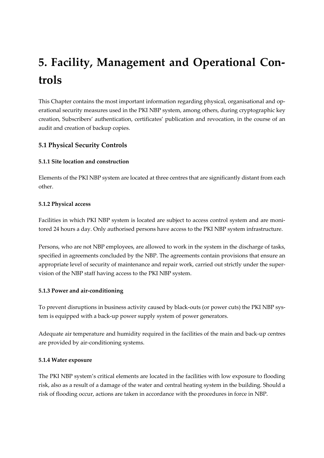# <span id="page-23-0"></span>**5. Facility, Management and Operational Controls**

This Chapter contains the most important information regarding physical, organisational and operational security measures used in the PKI NBP system, among others, during cryptographic key creation, Subscribers' authentication, certificates' publication and revocation, in the course of an audit and creation of backup copies.

## <span id="page-23-1"></span>**5.1 Physical Security Controls**

#### **5.1.1 Site location and construction**

Elements of the PKI NBP system are located at three centres that are significantly distant from each other.

#### **5.1.2 Physical access**

Facilities in which PKI NBP system is located are subject to access control system and are monitored 24 hours a day. Only authorised persons have access to the PKI NBP system infrastructure.

Persons, who are not NBP employees, are allowed to work in the system in the discharge of tasks, specified in agreements concluded by the NBP. The agreements contain provisions that ensure an appropriate level of security of maintenance and repair work, carried out strictly under the supervision of the NBP staff having access to the PKI NBP system.

## **5.1.3 Power and air-conditioning**

To prevent disruptions in business activity caused by black-outs (or power cuts) the PKI NBP system is equipped with a back-up power supply system of power generators.

Adequate air temperature and humidity required in the facilities of the main and back-up centres are provided by air-conditioning systems.

#### **5.1.4 Water exposure**

The PKI NBP system's critical elements are located in the facilities with low exposure to flooding risk, also as a result of a damage of the water and central heating system in the building. Should a risk of flooding occur, actions are taken in accordance with the procedures in force in NBP.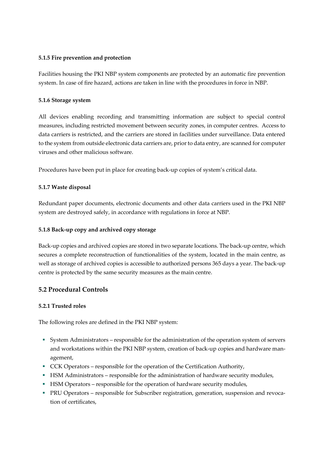#### **5.1.5 Fire prevention and protection**

Facilities housing the PKI NBP system components are protected by an automatic fire prevention system. In case of fire hazard, actions are taken in line with the procedures in force in NBP.

#### **5.1.6 Storage system**

All devices enabling recording and transmitting information are subject to special control measures, including restricted movement between security zones, in computer centres. Access to data carriers is restricted, and the carriers are stored in facilities under surveillance. Data entered to the system from outside electronic data carriers are, prior to data entry, are scanned for computer viruses and other malicious software.

Procedures have been put in place for creating back-up copies of system's critical data.

#### **5.1.7 Waste disposal**

Redundant paper documents, electronic documents and other data carriers used in the PKI NBP system are destroyed safely, in accordance with regulations in force at NBP.

#### **5.1.8 Back-up copy and archived copy storage**

Back-up copies and archived copies are stored in two separate locations. The back-up centre, which secures a complete reconstruction of functionalities of the system, located in the main centre, as well as storage of archived copies is accessible to authorized persons 365 days a year. The back-up centre is protected by the same security measures as the main centre.

## <span id="page-24-0"></span>**5.2 Procedural Controls**

#### **5.2.1 Trusted roles**

The following roles are defined in the PKI NBP system:

- System Administrators responsible for the administration of the operation system of servers and workstations within the PKI NBP system, creation of back-up copies and hardware management,
- CCK Operators responsible for the operation of the Certification Authority,
- **EXECUTE:** HSM Administrators responsible for the administration of hardware security modules,
- **EXECUTE:** HSM Operators responsible for the operation of hardware security modules,
- PRU Operators responsible for Subscriber registration, generation, suspension and revocation of certificates,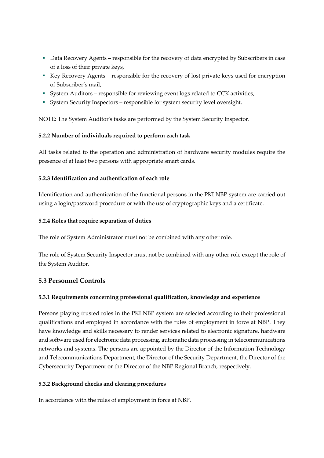- Data Recovery Agents responsible for the recovery of data encrypted by Subscribers in case of a loss of their private keys,
- Key Recovery Agents responsible for the recovery of lost private keys used for encryption of Subscriber's mail,
- System Auditors responsible for reviewing event logs related to CCK activities,
- System Security Inspectors responsible for system security level oversight.

NOTE: The System Auditor's tasks are performed by the System Security Inspector.

#### **5.2.2 Number of individuals required to perform each task**

All tasks related to the operation and administration of hardware security modules require the presence of at least two persons with appropriate smart cards.

#### **5.2.3 Identification and authentication of each role**

Identification and authentication of the functional persons in the PKI NBP system are carried out using a login/password procedure or with the use of cryptographic keys and a certificate.

#### **5.2.4 Roles that require separation of duties**

The role of System Administrator must not be combined with any other role.

The role of System Security Inspector must not be combined with any other role except the role of the System Auditor.

## <span id="page-25-0"></span>**5.3 Personnel Controls**

## **5.3.1 Requirements concerning professional qualification, knowledge and experience**

Persons playing trusted roles in the PKI NBP system are selected according to their professional qualifications and employed in accordance with the rules of employment in force at NBP. They have knowledge and skills necessary to render services related to electronic signature, hardware and software used for electronic data processing, automatic data processing in telecommunications networks and systems. The persons are appointed by the Director of the Information Technology and Telecommunications Department, the Director of the Security Department, the Director of the Cybersecurity Department or the Director of the NBP Regional Branch, respectively.

#### **5.3.2 Background checks and clearing procedures**

In accordance with the rules of employment in force at NBP.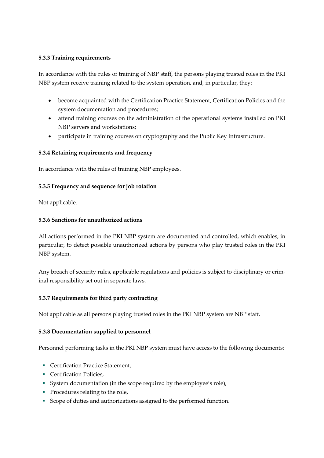#### **5.3.3 Training requirements**

In accordance with the rules of training of NBP staff, the persons playing trusted roles in the PKI NBP system receive training related to the system operation, and, in particular, they:

- become acquainted with the Certification Practice Statement, Certification Policies and the system documentation and procedures;
- attend training courses on the administration of the operational systems installed on PKI NBP servers and workstations;
- participate in training courses on cryptography and the Public Key Infrastructure.

#### **5.3.4 Retaining requirements and frequency**

In accordance with the rules of training NBP employees.

#### **5.3.5 Frequency and sequence for job rotation**

Not applicable.

#### **5.3.6 Sanctions for unauthorized actions**

All actions performed in the PKI NBP system are documented and controlled, which enables, in particular, to detect possible unauthorized actions by persons who play trusted roles in the PKI NBP system.

Any breach of security rules, applicable regulations and policies is subject to disciplinary or criminal responsibility set out in separate laws.

## **5.3.7 Requirements for third party contracting**

Not applicable as all persons playing trusted roles in the PKI NBP system are NBP staff.

## **5.3.8 Documentation supplied to personnel**

Personnel performing tasks in the PKI NBP system must have access to the following documents:

- Certification Practice Statement.
- **•** Certification Policies,
- System documentation (in the scope required by the employee's role),
- Procedures relating to the role,
- Scope of duties and authorizations assigned to the performed function.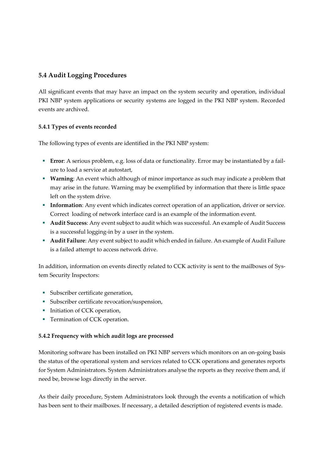## <span id="page-27-0"></span>**5.4 Audit Logging Procedures**

All significant events that may have an impact on the system security and operation, individual PKI NBP system applications or security systems are logged in the PKI NBP system. Recorded events are archived.

## **5.4.1 Types of events recorded**

The following types of events are identified in the PKI NBP system:

- **Error**: A serious problem, e.g. loss of data or functionality. Error may be instantiated by a failure to load a service at autostart,
- **Warning**: An event which although of minor importance as such may indicate a problem that may arise in the future. Warning may be exemplified by information that there is little space left on the system drive.
- **Information**: Any event which indicates correct operation of an application, driver or service. Correct loading of network interface card is an example of the information event.
- **Audit Success**: Any event subject to audit which was successful. An example of Audit Success is a successful logging-in by a user in the system.
- **Audit Failure**: Any event subject to audit which ended in failure. An example of Audit Failure is a failed attempt to access network drive.

In addition, information on events directly related to CCK activity is sent to the mailboxes of System Security Inspectors:

- Subscriber certificate generation,
- Subscriber certificate revocation/suspension,
- **•** Initiation of CCK operation,
- **•** Termination of CCK operation.

## **5.4.2 Frequency with which audit logs are processed**

Monitoring software has been installed on PKI NBP servers which monitors on an on-going basis the status of the operational system and services related to CCK operations and generates reports for System Administrators. System Administrators analyse the reports as they receive them and, if need be, browse logs directly in the server.

As their daily procedure, System Administrators look through the events a notification of which has been sent to their mailboxes. If necessary, a detailed description of registered events is made.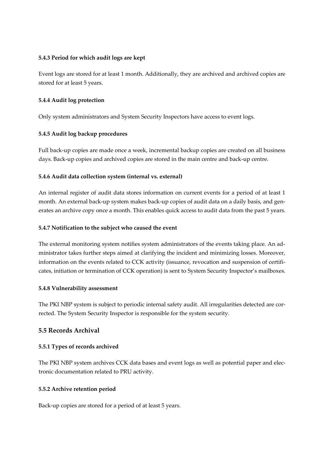#### **5.4.3 Period for which audit logs are kept**

Event logs are stored for at least 1 month. Additionally, they are archived and archived copies are stored for at least 5 years.

#### **5.4.4 Audit log protection**

Only system administrators and System Security Inspectors have access to event logs.

#### **5.4.5 Audit log backup procedures**

Full back-up copies are made once a week, incremental backup copies are created on all business days. Back-up copies and archived copies are stored in the main centre and back-up centre.

#### **5.4.6 Audit data collection system (internal vs. external)**

An internal register of audit data stores information on current events for a period of at least 1 month. An external back-up system makes back-up copies of audit data on a daily basis, and generates an archive copy once a month. This enables quick access to audit data from the past 5 years.

#### **5.4.7 Notification to the subject who caused the event**

The external monitoring system notifies system administrators of the events taking place. An administrator takes further steps aimed at clarifying the incident and minimizing losses. Moreover, information on the events related to CCK activity (issuance, revocation and suspension of certificates, initiation or termination of CCK operation) is sent to System Security Inspector's mailboxes.

#### **5.4.8 Vulnerability assessment**

The PKI NBP system is subject to periodic internal safety audit. All irregularities detected are corrected. The System Security Inspector is responsible for the system security.

#### <span id="page-28-0"></span>**5.5 Records Archival**

#### **5.5.1 Types of records archived**

The PKI NBP system archives CCK data bases and event logs as well as potential paper and electronic documentation related to PRU activity.

#### **5.5.2 Archive retention period**

Back-up copies are stored for a period of at least 5 years.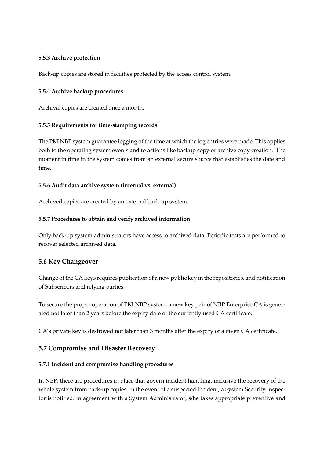#### **5.5.3 Archive protection**

Back-up copies are stored in facilities protected by the access control system.

#### **5.5.4 Archive backup procedures**

Archival copies are created once a month.

#### **5.5.5 Requirements for time-stamping records**

The PKI NBP system guarantee logging of the time at which the log entries were made. This applies both to the operating system events and to actions like backup copy or archive copy creation. The moment in time in the system comes from an external secure source that establishes the date and time.

#### **5.5.6 Audit data archive system (internal vs. external)**

Archived copies are created by an external back-up system.

#### **5.5.7 Procedures to obtain and verify archived information**

Only back-up system administrators have access to archived data. Periodic tests are performed to recover selected archived data.

## <span id="page-29-0"></span>**5.6 Key Changeover**

Change of the CA keys requires publication of a new public key in the repositories, and notification of Subscribers and relying parties.

To secure the proper operation of PKI NBP system, a new key pair of NBP Enterprise CA is generated not later than 2 years before the expiry date of the currently used CA certificate.

CA's private key is destroyed not later than 3 months after the expiry of a given CA certificate.

## <span id="page-29-1"></span>**5.7 Compromise and Disaster Recovery**

#### **5.7.1 Incident and compromise handling procedures**

In NBP, there are procedures in place that govern incident handling, inclusive the recovery of the whole system from back-up copies. In the event of a suspected incident, a System Security Inspector is notified. In agreement with a System Administrator, s/he takes appropriate preventive and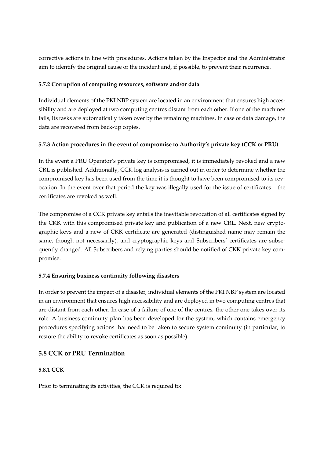corrective actions in line with procedures. Actions taken by the Inspector and the Administrator aim to identify the original cause of the incident and, if possible, to prevent their recurrence.

### **5.7.2 Corruption of computing resources, software and/or data**

Individual elements of the PKI NBP system are located in an environment that ensures high accessibility and are deployed at two computing centres distant from each other. If one of the machines fails, its tasks are automatically taken over by the remaining machines. In case of data damage, the data are recovered from back-up copies.

## **5.7.3 Action procedures in the event of compromise to Authority's private key (CCK or PRU)**

In the event a PRU Operator's private key is compromised, it is immediately revoked and a new CRL is published. Additionally, CCK log analysis is carried out in order to determine whether the compromised key has been used from the time it is thought to have been compromised to its revocation. In the event over that period the key was illegally used for the issue of certificates – the certificates are revoked as well.

The compromise of a CCK private key entails the inevitable revocation of all certificates signed by the CKK with this compromised private key and publication of a new CRL. Next, new cryptographic keys and a new of CKK certificate are generated (distinguished name may remain the same, though not necessarily), and cryptographic keys and Subscribers' certificates are subsequently changed. All Subscribers and relying parties should be notified of CKK private key compromise.

## **5.7.4 Ensuring business continuity following disasters**

In order to prevent the impact of a disaster, individual elements of the PKI NBP system are located in an environment that ensures high accessibility and are deployed in two computing centres that are distant from each other. In case of a failure of one of the centres, the other one takes over its role. A business continuity plan has been developed for the system, which contains emergency procedures specifying actions that need to be taken to secure system continuity (in particular, to restore the ability to revoke certificates as soon as possible).

## <span id="page-30-0"></span>**5.8 CCK or PRU Termination**

#### **5.8.1 CCK**

Prior to terminating its activities, the CCK is required to: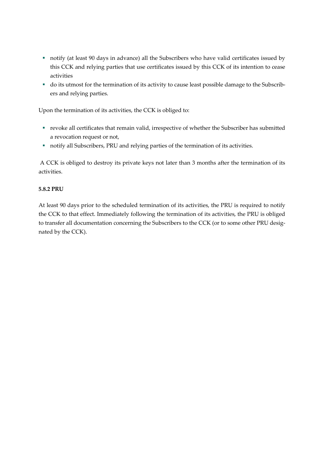- notify (at least 90 days in advance) all the Subscribers who have valid certificates issued by this CCK and relying parties that use certificates issued by this CCK of its intention to cease activities
- do its utmost for the termination of its activity to cause least possible damage to the Subscribers and relying parties.

Upon the termination of its activities, the CCK is obliged to:

- revoke all certificates that remain valid, irrespective of whether the Subscriber has submitted a revocation request or not,
- notify all Subscribers, PRU and relying parties of the termination of its activities.

A CCK is obliged to destroy its private keys not later than 3 months after the termination of its activities.

#### **5.8.2 PRU**

At least 90 days prior to the scheduled termination of its activities, the PRU is required to notify the CCK to that effect. Immediately following the termination of its activities, the PRU is obliged to transfer all documentation concerning the Subscribers to the CCK (or to some other PRU designated by the CCK).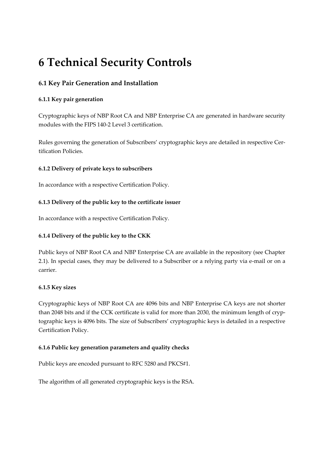## <span id="page-32-0"></span>**6 Technical Security Controls**

## <span id="page-32-1"></span>**6.1 Key Pair Generation and Installation**

## **6.1.1 Key pair generation**

Cryptographic keys of NBP Root CA and NBP Enterprise CA are generated in hardware security modules with the FIPS 140-2 Level 3 certification.

Rules governing the generation of Subscribers' cryptographic keys are detailed in respective Certification Policies.

#### **6.1.2 Delivery of private keys to subscribers**

In accordance with a respective Certification Policy.

## **6.1.3 Delivery of the public key to the certificate issuer**

In accordance with a respective Certification Policy.

## **6.1.4 Delivery of the public key to the CKK**

Public keys of NBP Root CA and NBP Enterprise CA are available in the repository (see Chapter 2.1). In special cases, they may be delivered to a Subscriber or a relying party via e-mail or on a carrier.

#### **6.1.5 Key sizes**

Cryptographic keys of NBP Root CA are 4096 bits and NBP Enterprise CA keys are not shorter than 2048 bits and if the CCK certificate is valid for more than 2030, the minimum length of cryptographic keys is 4096 bits. The size of Subscribers' cryptographic keys is detailed in a respective Certification Policy.

#### **6.1.6 Public key generation parameters and quality checks**

Public keys are encoded pursuant to RFC 5280 and PKCS#1.

The algorithm of all generated cryptographic keys is the RSA.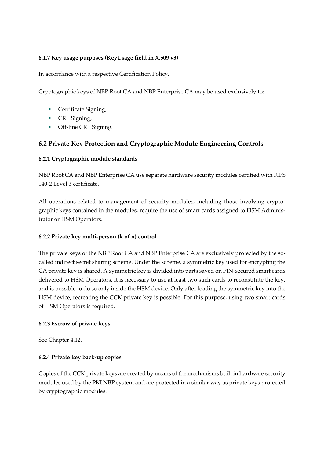### **6.1.7 Key usage purposes (KeyUsage field in X.509 v3)**

In accordance with a respective Certification Policy.

Cryptographic keys of NBP Root CA and NBP Enterprise CA may be used exclusively to:

- **•** Certificate Signing,
- **•** CRL Signing,
- **•** Off-line CRL Signing.

## <span id="page-33-0"></span>**6.2 Private Key Protection and Cryptographic Module Engineering Controls**

#### **6.2.1 Cryptographic module standards**

NBP Root CA and NBP Enterprise CA use separate hardware security modules certified with FIPS 140-2 Level 3 certificate.

All operations related to management of security modules, including those involving cryptographic keys contained in the modules, require the use of smart cards assigned to HSM Administrator or HSM Operators.

#### **6.2.2 Private key multi-person (k of n) control**

The private keys of the NBP Root CA and NBP Enterprise CA are exclusively protected by the socalled indirect secret sharing scheme. Under the scheme, a symmetric key used for encrypting the CA private key is shared. A symmetric key is divided into parts saved on PIN-secured smart cards delivered to HSM Operators. It is necessary to use at least two such cards to reconstitute the key, and is possible to do so only inside the HSM device. Only after loading the symmetric key into the HSM device, recreating the CCK private key is possible. For this purpose, using two smart cards of HSM Operators is required.

#### **6.2.3 Escrow of private keys**

See Chapter 4.12.

#### **6.2.4 Private key back-up copies**

Copies of the CCK private keys are created by means of the mechanisms built in hardware security modules used by the PKI NBP system and are protected in a similar way as private keys protected by cryptographic modules.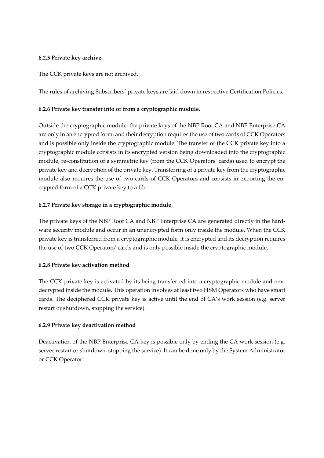#### **6.2.5 Private key archive**

The CCK private keys are not archived.

The rules of archiving Subscribers' private keys are laid down in respective Certification Policies.

#### **6.2.6 Private key transfer into or from a cryptographic module.**

Outside the cryptographic module, the private keys of the NBP Root CA and NBP Enterprise CA are only in an encrypted form, and their decryption requires the use of two cards of CCK Operators and is possible only inside the cryptographic module. The transfer of the CCK private key into a cryptographic module consists in its encrypted version being downloaded into the cryptographic module, re-constitution of a symmetric key (from the CCK Operators' cards) used to encrypt the private key and decryption of the private key. Transferring of a private key from the cryptographic module also requires the use of two cards of CCK Operators and consists in exporting the encrypted form of a CCK private key to a file.

#### **6.2.7 Private key storage in a cryptographic module**

The private keys of the NBP Root CA and NBP Enterprise CA are generated directly in the hardware security module and occur in an unencrypted form only inside the module. When the CCK private key is transferred from a cryptographic module, it is encrypted and its decryption requires the use of two CCK Operators' cards and is only possible inside the cryptographic module.

#### **6.2.8 Private key activation method**

The CCK private key is activated by its being transferred into a cryptographic module and next decrypted inside the module. This operation involves at least two HSM Operators who have smart cards. The deciphered CCK private key is active until the end of CA's work session (e.g. server restart or shutdown, stopping the service).

#### **6.2.9 Private key deactivation method**

Deactivation of the NBP Enterprise CA key is possible only by ending the CA work session (e.g. server restart or shutdown, stopping the service). It can be done only by the System Administrator or CCK Operator.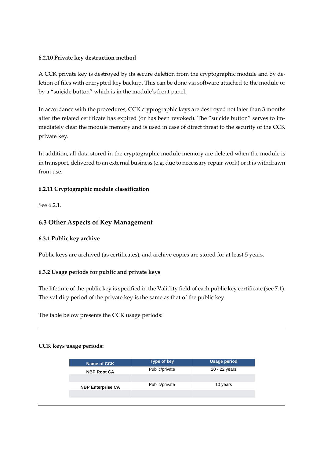#### **6.2.10 Private key destruction method**

A CCK private key is destroyed by its secure deletion from the cryptographic module and by deletion of files with encrypted key backup. This can be done via software attached to the module or by a "suicide button" which is in the module's front panel.

In accordance with the procedures, CCK cryptographic keys are destroyed not later than 3 months after the related certificate has expired (or has been revoked). The "suicide button" serves to immediately clear the module memory and is used in case of direct threat to the security of the CCK private key.

In addition, all data stored in the cryptographic module memory are deleted when the module is in transport, delivered to an external business (e.g. due to necessary repair work) or it is withdrawn from use.

## **6.2.11 Cryptographic module classification**

See 6.2.1.

## <span id="page-35-0"></span>**6.3 Other Aspects of Key Management**

#### **6.3.1 Public key archive**

Public keys are archived (as certificates), and archive copies are stored for at least 5 years.

#### **6.3.2 Usage periods for public and private keys**

The lifetime of the public key is specified in the Validity field of each public key certificate (see 7.1). The validity period of the private key is the same as that of the public key.

The table below presents the CCK usage periods:

#### **CCK keys usage periods:**

| Name of CCK              | Type of key    | <b>Usage period</b> |
|--------------------------|----------------|---------------------|
| <b>NBP Root CA</b>       | Public/private | 20 - 22 years       |
|                          |                |                     |
| <b>NBP Enterprise CA</b> | Public/private | 10 years            |
|                          |                |                     |
|                          |                |                     |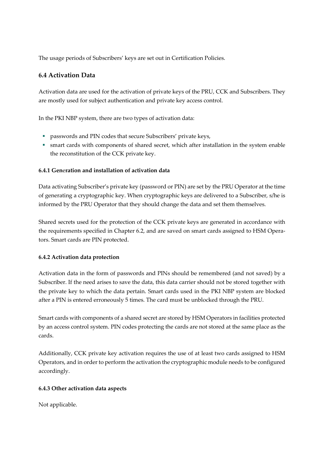The usage periods of Subscribers' keys are set out in Certification Policies.

## <span id="page-36-0"></span>**6.4 Activation Data**

Activation data are used for the activation of private keys of the PRU, CCK and Subscribers. They are mostly used for subject authentication and private key access control.

In the PKI NBP system, there are two types of activation data:

- passwords and PIN codes that secure Subscribers' private keys,
- smart cards with components of shared secret, which after installation in the system enable the reconstitution of the CCK private key.

## **6.4.1 Gen**e**ration and installation of activation data**

Data activating Subscriber's private key (password or PIN) are set by the PRU Operator at the time of generating a cryptographic key. When cryptographic keys are delivered to a Subscriber, s/he is informed by the PRU Operator that they should change the data and set them themselves.

Shared secrets used for the protection of the CCK private keys are generated in accordance with the requirements specified in Chapter 6.2, and are saved on smart cards assigned to HSM Operators. Smart cards are PIN protected.

## **6.4.2 Activation data protection**

Activation data in the form of passwords and PINs should be remembered (and not saved) by a Subscriber. If the need arises to save the data, this data carrier should not be stored together with the private key to which the data pertain. Smart cards used in the PKI NBP system are blocked after a PIN is entered erroneously 5 times. The card must be unblocked through the PRU.

Smart cards with components of a shared secret are stored by HSM Operators in facilities protected by an access control system. PIN codes protecting the cards are not stored at the same place as the cards.

Additionally, CCK private key activation requires the use of at least two cards assigned to HSM Operators, and in order to perform the activation the cryptographic module needs to be configured accordingly.

#### **6.4.3 Other activation data aspects**

Not applicable.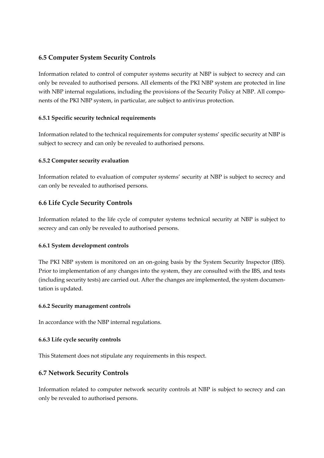## <span id="page-37-0"></span>**6.5 Computer System Security Controls**

Information related to control of computer systems security at NBP is subject to secrecy and can only be revealed to authorised persons. All elements of the PKI NBP system are protected in line with NBP internal regulations, including the provisions of the Security Policy at NBP. All components of the PKI NBP system, in particular, are subject to antivirus protection.

#### **6.5.1 Specific security technical requirements**

Information related to the technical requirements for computer systems' specific security at NBP is subject to secrecy and can only be revealed to authorised persons.

#### **6.5.2 Computer security evaluation**

Information related to evaluation of computer systems' security at NBP is subject to secrecy and can only be revealed to authorised persons.

## <span id="page-37-1"></span>**6.6 Life Cycle Security Controls**

Information related to the life cycle of computer systems technical security at NBP is subject to secrecy and can only be revealed to authorised persons.

#### **6.6.1 System development controls**

The PKI NBP system is monitored on an on-going basis by the System Security Inspector (IBS). Prior to implementation of any changes into the system, they are consulted with the IBS, and tests (including security tests) are carried out. After the changes are implemented, the system documentation is updated.

#### **6.6.2 Security management controls**

In accordance with the NBP internal regulations.

#### **6.6.3 Life cycle security controls**

This Statement does not stipulate any requirements in this respect.

## <span id="page-37-2"></span>**6.7 Network Security Controls**

Information related to computer network security controls at NBP is subject to secrecy and can only be revealed to authorised persons.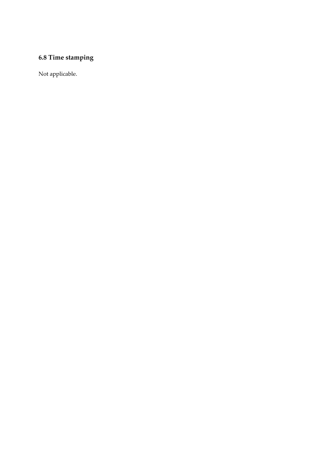## <span id="page-38-0"></span>**6.8 Time stamping**

Not applicable.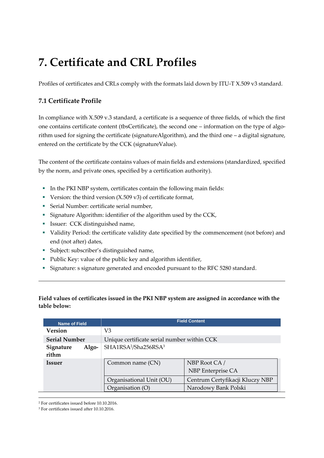## <span id="page-39-0"></span>**7. Certificate and CRL Profiles**

Profiles of certificates and CRLs comply with the formats laid down by ITU-T X.509 v3 standard.

## <span id="page-39-1"></span>**7.1 Certificate Profile**

In compliance with X.509 v.3 standard, a certificate is a sequence of three fields, of which the first one contains certificate content (tbsCertificate), the second one – information on the type of algorithm used for signing the certificate (signatureAlgorithm), and the third one – a digital signature, entered on the certificate by the CCK (signatureValue).

The content of the certificate contains values of main fields and extensions (standardized, specified by the norm, and private ones, specified by a certification authority).

- In the PKI NBP system, certificates contain the following main fields:
- **•** Version: the third version  $(X.509 \text{ v}^3)$  of certificate format,
- **•** Serial Number: certificate serial number,
- **EXECUTE:** Signature Algorithm: identifier of the algorithm used by the CCK,
- **•** Issuer: CCK distinguished name,
- Validity Period: the certificate validity date specified by the commencement (not before) and end (not after) dates,
- Subject: subscriber's distinguished name,
- Public Key: value of the public key and algorithm identifier,
- Signature: s signature generated and encoded pursuant to the RFC 5280 standard.

## **Field values of certificates issued in the PKI NBP system are assigned in accordance with the table below:**

| <b>Name of Field</b>        | <b>Field Content</b>                         |                                    |
|-----------------------------|----------------------------------------------|------------------------------------|
| <b>Version</b>              | V3                                           |                                    |
| <b>Serial Number</b>        | Unique certificate serial number within CCK  |                                    |
| Signature<br>Algo-<br>rithm | SHA1RSA <sup>2</sup> /Sha256RSA <sup>3</sup> |                                    |
| <b>Issuer</b>               | Common name (CN)                             | NBP Root CA /<br>NBP Enterprise CA |
|                             | Organisational Unit (OU)                     | Centrum Certyfikacji Kluczy NBP    |
|                             | Organisation (O)                             | Narodowy Bank Polski               |

<sup>2</sup> For certificates issued before 10.10.2016.

<sup>3</sup> For certificates issued after 10.10.2016.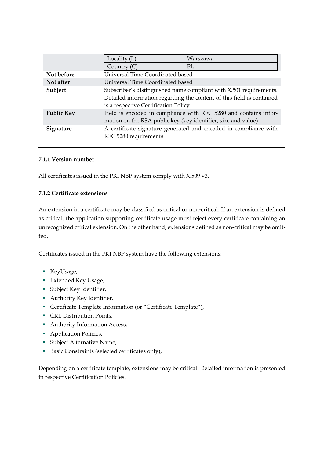|                   | Locality (L)                                                                                                                                                                        | Warszawa |
|-------------------|-------------------------------------------------------------------------------------------------------------------------------------------------------------------------------------|----------|
|                   | Country $(C)$                                                                                                                                                                       | PL       |
| Not before        | Universal Time Coordinated based                                                                                                                                                    |          |
| Not after         | Universal Time Coordinated based                                                                                                                                                    |          |
| Subject           | Subscriber's distinguished name compliant with X.501 requirements.<br>Detailed information regarding the content of this field is contained<br>is a respective Certification Policy |          |
| <b>Public Key</b> | Field is encoded in compliance with RFC 5280 and contains infor-<br>mation on the RSA public key (key identifier, size and value)                                                   |          |
| Signature         | A certificate signature generated and encoded in compliance with<br>RFC 5280 requirements                                                                                           |          |

#### **7.1.1 Version number**

All certificates issued in the PKI NBP system comply with X.509 v3.

#### **7.1.2 Certificate extensions**

An extension in a certificate may be classified as critical or non-critical. If an extension is defined as critical, the application supporting certificate usage must reject every certificate containing an unrecognized critical extension. On the other hand, extensions defined as non-critical may be omitted.

Certificates issued in the PKI NBP system have the following extensions:

- KeyUsage,
- Extended Key Usage,
- **•** Subject Key Identifier,
- **•** Authority Key Identifier,
- Certificate Template Information (or "Certificate Template"),
- **CRL Distribution Points,**
- Authority Information Access,
- **•** Application Policies,
- **Subject Alternative Name,**
- Basic Constraints (selected certificates only),

Depending on a certificate template, extensions may be critical. Detailed information is presented in respective Certification Policies.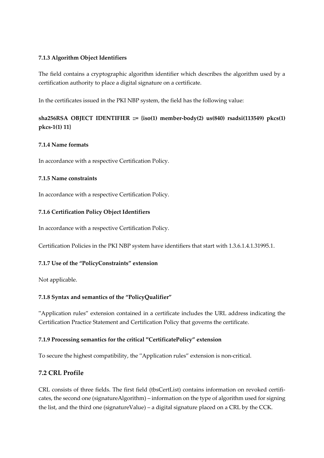#### **7.1.3 Algorithm Object Identifiers**

The field contains a cryptographic algorithm identifier which describes the algorithm used by a certification authority to place a digital signature on a certificate.

In the certificates issued in the PKI NBP system, the field has the following value:

## **sha256RSA OBJECT IDENTIFIER ::= {iso(1) member-body(2) us(840) rsadsi(113549) pkcs(1) pkcs-1(1) 11}**

#### **7.1.4 Name formats**

In accordance with a respective Certification Policy.

#### **7.1.5 Name constraints**

In accordance with a respective Certification Policy.

#### **7.1.6 Certification Policy Object Identifiers**

In accordance with a respective Certification Policy.

Certification Policies in the PKI NBP system have identifiers that start with 1.3.6.1.4.1.31995.1.

## **7.1.7 Use of the "PolicyConstraints" extension**

Not applicable.

## **7.1.8 Syntax and semantics of the "PolicyQualifier"**

"Application rules" extension contained in a certificate includes the URL address indicating the Certification Practice Statement and Certification Policy that governs the certificate.

#### **7.1.9 Processing semantics for the critical "CertificatePolicy" extension**

To secure the highest compatibility, the "Application rules" extension is non-critical.

## <span id="page-41-0"></span>**7.2 CRL Profile**

CRL consists of three fields. The first field (tbsCertList) contains information on revoked certificates, the second one (signatureAlgorithm) – information on the type of algorithm used for signing the list, and the third one (signatureValue) – a digital signature placed on a CRL by the CCK.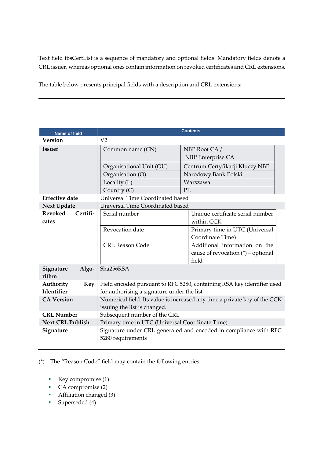Text field tbsCertList is a sequence of mandatory and optional fields. Mandatory fields denote a CRL issuer, whereas optional ones contain information on revoked certificates and CRL extensions.

The table below presents principal fields with a description and CRL extensions:

| <b>Name of field</b>                |                                                                                                                      | <b>Contents</b>                                                                |
|-------------------------------------|----------------------------------------------------------------------------------------------------------------------|--------------------------------------------------------------------------------|
| <b>Version</b>                      | V <sub>2</sub>                                                                                                       |                                                                                |
| <b>Issuer</b>                       | Common name (CN)                                                                                                     | NBP Root CA /<br>NBP Enterprise CA                                             |
|                                     | Organisational Unit (OU)                                                                                             | Centrum Certyfikacji Kluczy NBP                                                |
|                                     | Organisation (O)                                                                                                     | Narodowy Bank Polski                                                           |
|                                     | Locality (L)                                                                                                         | Warszawa                                                                       |
|                                     | Country (C)                                                                                                          | PL                                                                             |
| <b>Effective date</b>               | Universal Time Coordinated based                                                                                     |                                                                                |
| <b>Next Update</b>                  | <b>Universal Time Coordinated based</b>                                                                              |                                                                                |
| <b>Revoked</b><br>Certifi-<br>cates | Serial number                                                                                                        | Unique certificate serial number<br>within CCK                                 |
|                                     | Revocation date                                                                                                      | Primary time in UTC (Universal<br>Coordinate Time)                             |
|                                     | <b>CRL Reason Code</b>                                                                                               | Additional information on the<br>cause of revocation $(*)$ – optional<br>field |
| Algo-<br>Signature<br>rithm         | Sha256RSA                                                                                                            |                                                                                |
| Authority<br>Key<br>Identifier      | Field encoded pursuant to RFC 5280, containing RSA key identifier used<br>for authorising a signature under the list |                                                                                |
| <b>CA Version</b>                   |                                                                                                                      | Numerical field. Its value is increased any time a private key of the CCK      |
|                                     | issuing the list is changed.                                                                                         |                                                                                |
| <b>CRL Number</b>                   | Subsequent number of the CRL                                                                                         |                                                                                |
| <b>Next CRL Publish</b>             | Primary time in UTC (Universal Coordinate Time)                                                                      |                                                                                |
| Signature                           | 5280 requirements                                                                                                    | Signature under CRL generated and encoded in compliance with RFC               |

(\*) – The "Reason Code" field may contain the following entries:

- Key compromise (1)
- CA compromise (2)
- Affiliation changed (3)
- Superseded (4)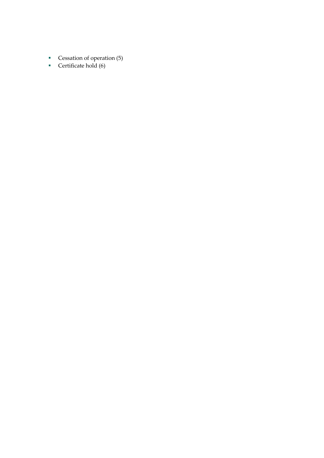- Cessation of operation (5)
- Certificate hold (6)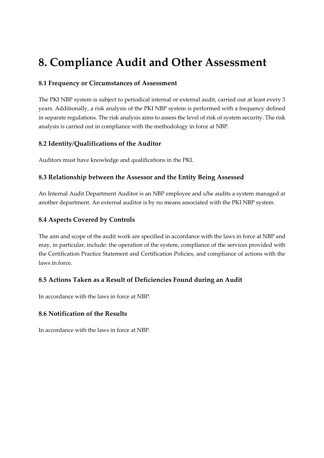## <span id="page-44-0"></span>**8. Compliance Audit and Other Assessment**

## <span id="page-44-1"></span>**8.1 Frequency or Circumstances of Assessment**

The PKI NBP system is subject to periodical internal or external audit, carried out at least every 3 years. Additionally, a risk analysis of the PKI NBP system is performed with a frequency defined in separate regulations. The risk analysis aims to assess the level of risk of system security. The risk analysis is carried out in compliance with the methodology in force at NBP.

## <span id="page-44-2"></span>**8.2 Identity/Qualifications of the Auditor**

Auditors must have knowledge and qualifications in the PKI.

## <span id="page-44-3"></span>**8.3 Relationship between the Assessor and the Entity Being Assessed**

An Internal Audit Department Auditor is an NBP employee and s/he audits a system managed at another department. An external auditor is by no means associated with the PKI NBP system.

## <span id="page-44-4"></span>**8.4 Aspects Covered by Controls**

The aim and scope of the audit work are specified in accordance with the laws in force at NBP and may, in particular, include: the operation of the system, compliance of the services provided with the Certification Practice Statement and Certification Policies, and compliance of actions with the laws in force.

## <span id="page-44-5"></span>**8.5 Actions Taken as a Result of Deficiencies Found during an Audit**

In accordance with the laws in force at NBP.

## <span id="page-44-6"></span>**8.6 Notification of the Results**

In accordance with the laws in force at NBP.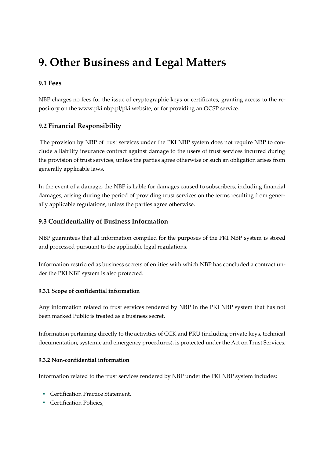## <span id="page-45-0"></span>**9. Other Business and Legal Matters**

## <span id="page-45-1"></span>**9.1 Fees**

NBP charges no fees for the issue of cryptographic keys or certificates, granting access to the repository on the www.pki.nbp.pl/pki website, or for providing an OCSP service.

## <span id="page-45-2"></span>**9.2 Financial Responsibility**

The provision by NBP of trust services under the PKI NBP system does not require NBP to conclude a liability insurance contract against damage to the users of trust services incurred during the provision of trust services, unless the parties agree otherwise or such an obligation arises from generally applicable laws.

In the event of a damage, the NBP is liable for damages caused to subscribers, including financial damages, arising during the period of providing trust services on the terms resulting from generally applicable regulations, unless the parties agree otherwise.

## <span id="page-45-3"></span>**9.3 Confidentiality of Business Information**

NBP guarantees that all information compiled for the purposes of the PKI NBP system is stored and processed pursuant to the applicable legal regulations.

Information restricted as business secrets of entities with which NBP has concluded a contract under the PKI NBP system is also protected.

## **9.3.1 Scope of confidential information**

Any information related to trust services rendered by NBP in the PKI NBP system that has not been marked Public is treated as a business secret.

Information pertaining directly to the activities of CCK and PRU (including private keys, technical documentation, systemic and emergency procedures), is protected under the Act on Trust Services.

#### **9.3.2 Non-confidential information**

Information related to the trust services rendered by NBP under the PKI NBP system includes:

- **Certification Practice Statement,**
- **Certification Policies.**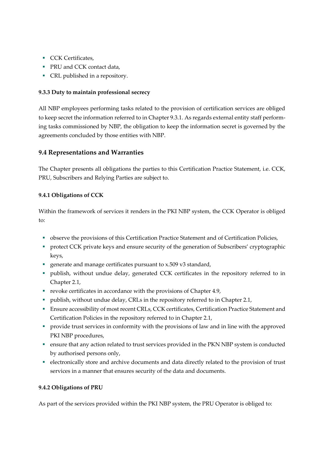- CCK Certificates.
- PRU and CCK contact data,
- CRL published in a repository.

### **9.3.3 Duty to maintain professional secrecy**

All NBP employees performing tasks related to the provision of certification services are obliged to keep secret the information referred to in Chapter 9.3.1. As regards external entity staff performing tasks commissioned by NBP, the obligation to keep the information secret is governed by the agreements concluded by those entities with NBP.

## <span id="page-46-0"></span>**9.4 Representations and Warranties**

The Chapter presents all obligations the parties to this Certification Practice Statement, i.e. CCK, PRU, Subscribers and Relying Parties are subject to.

## **9.4.1 Obligations of CCK**

Within the framework of services it renders in the PKI NBP system, the CCK Operator is obliged  $f$ <sup>o</sup>:

- observe the provisions of this Certification Practice Statement and of Certification Policies,
- **•** protect CCK private keys and ensure security of the generation of Subscribers' cryptographic keys,
- generate and manage certificates pursuant to x.509 v3 standard,
- publish, without undue delay, generated CCK certificates in the repository referred to in Chapter 2.1,
- revoke certificates in accordance with the provisions of Chapter 4.9,
- publish, without undue delay, CRLs in the repository referred to in Chapter 2.1,
- **Ensure accessibility of most recent CRLs, CCK certificates, Certification Practice Statement and** Certification Policies in the repository referred to in Chapter 2.1,
- provide trust services in conformity with the provisions of law and in line with the approved PKI NBP procedures,
- ensure that any action related to trust services provided in the PKN NBP system is conducted by authorised persons only,
- electronically store and archive documents and data directly related to the provision of trust services in a manner that ensures security of the data and documents.

#### **9.4.2 Obligations of PRU**

As part of the services provided within the PKI NBP system, the PRU Operator is obliged to: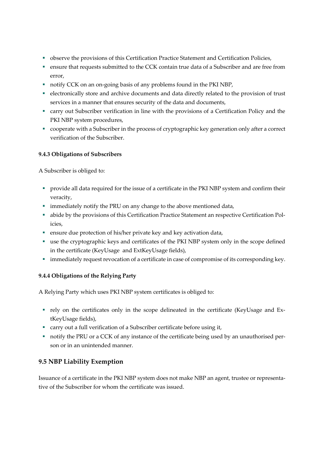- **•** observe the provisions of this Certification Practice Statement and Certification Policies,
- ensure that requests submitted to the CCK contain true data of a Subscriber and are free from error,
- notify CCK on an on-going basis of any problems found in the PKI NBP,
- electronically store and archive documents and data directly related to the provision of trust services in a manner that ensures security of the data and documents,
- carry out Subscriber verification in line with the provisions of a Certification Policy and the PKI NBP system procedures,
- cooperate with a Subscriber in the process of cryptographic key generation only after a correct verification of the Subscriber.

#### **9.4.3 Obligations of Subscribers**

A Subscriber is obliged to:

- **•** provide all data required for the issue of a certificate in the PKI NBP system and confirm their veracity,
- **•** immediately notify the PRU on any change to the above mentioned data,
- abide by the provisions of this Certification Practice Statement an respective Certification Policies,
- ensure due protection of his/her private key and key activation data,
- use the cryptographic keys and certificates of the PKI NBP system only in the scope defined in the certificate (KeyUsage and ExtKeyUsage fields),
- **·** immediately request revocation of a certificate in case of compromise of its corresponding key.

#### **9.4.4 Obligations of the Relying Party**

A Relying Party which uses PKI NBP system certificates is obliged to:

- rely on the certificates only in the scope delineated in the certificate (KeyUsage and ExtKeyUsage fields),
- carry out a full verification of a Subscriber certificate before using it,
- notify the PRU or a CCK of any instance of the certificate being used by an unauthorised person or in an unintended manner.

## <span id="page-47-0"></span>**9.5 NBP Liability Exemption**

Issuance of a certificate in the PKI NBP system does not make NBP an agent, trustee or representative of the Subscriber for whom the certificate was issued.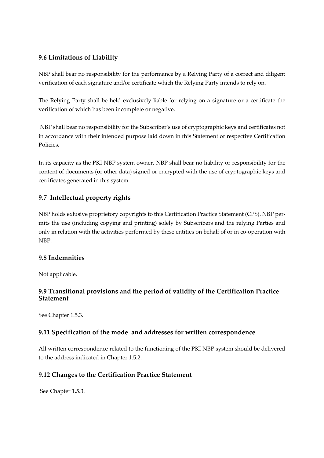## <span id="page-48-0"></span>**9.6 Limitations of Liability**

NBP shall bear no responsibility for the performance by a Relying Party of a correct and diligent verification of each signature and/or certificate which the Relying Party intends to rely on.

The Relying Party shall be held exclusively liable for relying on a signature or a certificate the verification of which has been incomplete or negative.

NBP shall bear no responsibility for the Subscriber's use of cryptographic keys and certificates not in accordance with their intended purpose laid down in this Statement or respective Certification Policies.

In its capacity as the PKI NBP system owner, NBP shall bear no liability or responsibility for the content of documents (or other data) signed or encrypted with the use of cryptographic keys and certificates generated in this system.

## <span id="page-48-1"></span>**9.7 Intellectual property rights**

NBP holds exlusive proprietory copyrights to this Certification Practice Statement (CPS). NBP permits the use (including copying and printing) solely by Subscribers and the relying Parties and only in relation with the activities performed by these entities on behalf of or in co-operation with NBP.

## <span id="page-48-2"></span>**9.8 Indemnities**

Not applicable.

## <span id="page-48-3"></span>**9.9 Transitional provisions and the period of validity of the Certification Practice Statement**

See Chapter 1.5.3.

## <span id="page-48-4"></span>**9.11 Specification of the mode and addresses for written correspondence**

All written correspondence related to the functioning of the PKI NBP system should be delivered to the address indicated in Chapter 1.5.2.

## <span id="page-48-5"></span>**9.12 Changes to the Certification Practice Statement**

See Chapter 1.5.3.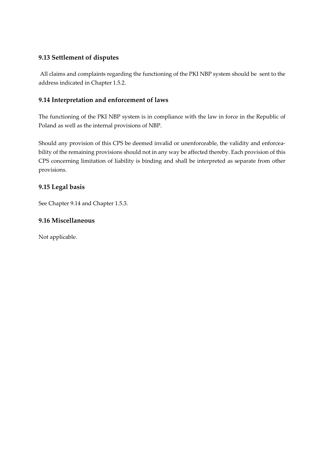## <span id="page-49-0"></span>**9.13 Settlement of disputes**

All claims and complaints regarding the functioning of the PKI NBP system should be sent to the address indicated in Chapter 1.5.2.

## <span id="page-49-1"></span>**9.14 Interpretation and enforcement of laws**

The functioning of the PKI NBP system is in compliance with the law in force in the Republic of Poland as well as the internal provisions of NBP.

Should any provision of this CPS be deemed invalid or unenforceable, the validity and enforceability of the remaining provisions should not in any way be affected thereby. Each provision of this CPS concerning limitation of liability is binding and shall be interpreted as separate from other provisions.

## <span id="page-49-2"></span>**9.15 Legal basis**

See Chapter 9.14 and Chapter 1.5.3.

## <span id="page-49-3"></span>**9.16 Miscellaneous**

Not applicable.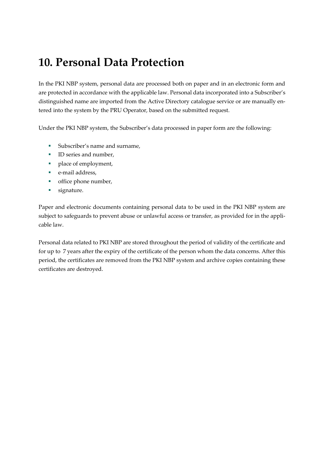## <span id="page-50-0"></span>**10. Personal Data Protection**

In the PKI NBP system, personal data are processed both on paper and in an electronic form and are protected in accordance with the applicable law. Personal data incorporated into a Subscriber's distinguished name are imported from the Active Directory catalogue service or are manually entered into the system by the PRU Operator, based on the submitted request.

Under the PKI NBP system, the Subscriber's data processed in paper form are the following:

- Subscriber's name and surname,
- ID series and number,
- place of employment,
- e-mail address,
- office phone number,
- **■** signature.

Paper and electronic documents containing personal data to be used in the PKI NBP system are subject to safeguards to prevent abuse or unlawful access or transfer, as provided for in the applicable law.

Personal data related to PKI NBP are stored throughout the period of validity of the certificate and for up to 7 years after the expiry of the certificate of the person whom the data concerns. After this period, the certificates are removed from the PKI NBP system and archive copies containing these certificates are destroyed.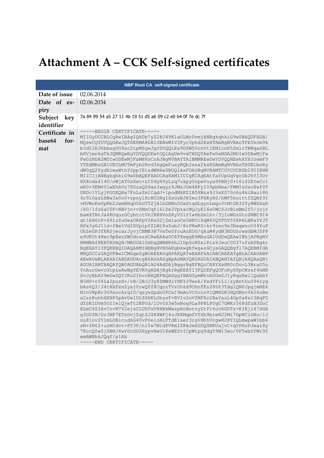# <span id="page-51-0"></span>**Attachment A – CCK Self-signed certificates**

|                                         | <b>NBP Root CA self-signed certificate</b>                                                                                                                                                                                                                                                                                                                                                                                                                                                                                                                                                                                                                                                                                                                                                                                                                                                                                                                                                                                                                                                                                                                                                                                                                                                                                                                                                                                                                                                                                                                                                                                                                                                                                                                                                                                                                                                                                                                                                                                                                                                                                                                                                                                                                                                                                                                                                                                                                                                                                                                                                                                   |
|-----------------------------------------|------------------------------------------------------------------------------------------------------------------------------------------------------------------------------------------------------------------------------------------------------------------------------------------------------------------------------------------------------------------------------------------------------------------------------------------------------------------------------------------------------------------------------------------------------------------------------------------------------------------------------------------------------------------------------------------------------------------------------------------------------------------------------------------------------------------------------------------------------------------------------------------------------------------------------------------------------------------------------------------------------------------------------------------------------------------------------------------------------------------------------------------------------------------------------------------------------------------------------------------------------------------------------------------------------------------------------------------------------------------------------------------------------------------------------------------------------------------------------------------------------------------------------------------------------------------------------------------------------------------------------------------------------------------------------------------------------------------------------------------------------------------------------------------------------------------------------------------------------------------------------------------------------------------------------------------------------------------------------------------------------------------------------------------------------------------------------------------------------------------------------------------------------------------------------------------------------------------------------------------------------------------------------------------------------------------------------------------------------------------------------------------------------------------------------------------------------------------------------------------------------------------------------------------------------------------------------------------------------------------------------|
| Date of issue                           | 02.06.2014                                                                                                                                                                                                                                                                                                                                                                                                                                                                                                                                                                                                                                                                                                                                                                                                                                                                                                                                                                                                                                                                                                                                                                                                                                                                                                                                                                                                                                                                                                                                                                                                                                                                                                                                                                                                                                                                                                                                                                                                                                                                                                                                                                                                                                                                                                                                                                                                                                                                                                                                                                                                                   |
| Date of ex-<br>piry                     | 02.06.2034                                                                                                                                                                                                                                                                                                                                                                                                                                                                                                                                                                                                                                                                                                                                                                                                                                                                                                                                                                                                                                                                                                                                                                                                                                                                                                                                                                                                                                                                                                                                                                                                                                                                                                                                                                                                                                                                                                                                                                                                                                                                                                                                                                                                                                                                                                                                                                                                                                                                                                                                                                                                                   |
| Subject<br>key<br>identifier            | 7a 84 99 54 a5 27 11 4b 19 51 d5 a6 09 c2 e0 b4 0f 7e dc 7f                                                                                                                                                                                                                                                                                                                                                                                                                                                                                                                                                                                                                                                                                                                                                                                                                                                                                                                                                                                                                                                                                                                                                                                                                                                                                                                                                                                                                                                                                                                                                                                                                                                                                                                                                                                                                                                                                                                                                                                                                                                                                                                                                                                                                                                                                                                                                                                                                                                                                                                                                                  |
| Certificate in<br>base64<br>for-<br>mat | -----BEGIN CERTIFICATE-----<br>MIIGyDCCBLCgAwIBAgIQH0b7yZ28J49K1aOLMcDvmjANBgkqhkiG9w0BAQUFADB/<br>MQswCQYDVQQGEwJQTDERMA8GA1UEBxMIV2Fyc3phd2ExHTAbBgNVBAoTFE5hcm9k<br>b3d5IEJhbmsgUG9sc2tpMSgwJgYDVQQLEx9DZW50cnVtIENlcnR5ZmlrYWNqaSBL<br>bHVjenkgTkJQMRQwEgYDVQQDEwtOQlAgUm9vdCBDQTAeFw0xNDA2MDIwODAwMjFa<br>Fw0zNDA2MDIwODEwMjFaMH8xCzAJBgNVBAYTAlBMMREwDwYDVQQHEwhXYXJzemF3<br>YTEdMBsGA1UEChMUTmFyb2Rvd3kgQmFuayBQb2xza2kxKDAmBgNVBAsTH0N1bnRy<br>dW0qQ2VydHlmaWthY2ppIEtsdWN6eSBOQlAxFDASBqNVBAMTC05CUCBSb290IENB<br>MIICIjANBgkqhkiG9w0BAQEFAAOCAg8AMIICCgKCAgEAtYa0OpGqVgcOb2hYI3Ur<br>8X8odx414U/oWjAT0sXxt+LC0dyX9yLzq7ukpyOrpeVuya9PBBj0+t6iS2EYeCcl<br>eK0+9EM4YlwEhAVs78SzaQZ9anIwgyr9JMzJOm4RFyI09pbNea/FWMIsOso8wf0T<br>URDc1YLyjPGOEQHa7FnLsfm1CqdJ+1podMkKZ1B5XWus9J3xXS70c6u4kiBaui8h<br>4r91OazLHBw3x0o0+zpsylXcHCORgIZsGzBJHImo3FHKyRS/hWF5koittfZQNf9I<br>vNVWoKwUpRb2JweBHqG5hGT52jAlhDNRn0OxStqdLgynLmgo3tMtGR32Yy8WXXaR<br>/k0/1foSaC0F+NBVjn+vZMsCqfi61Ze2VpzacNQJyEl6w0WCSJcBixWm2f5/jojr<br>bamXTBtJa4ROquzGCybtctVnIKRHVoSRyVSlfIw6bZmlh+/3jIoWGzGtoZMBC9I4<br>qt1EH6rP+691zZuUeaORFpVIKs02j2m1aoCe5BKO1XqW6YQYFDY55XPALBKaYYJT<br>RPx3yGJ11d+fBetVdIXVpipfZLW18sZobJ/8zPNwKZ+kr9zeo9e3BaqwncO34YuP<br>OhZeGPJfKRSjecarJyvjCNMB3H7VxTeSYcuAoEOG/qkuM4ydN3NDUSrwxGbWJSPP<br>e9UKUt4Hec9pEwzZWOdosssCAwEAAaOCAT4wggE6MAsGA1UdDwQEAwIBhjAPBgNV<br>HRMBAf8EBTADAQH/MB0GA1UdDgQWBBR6hJlUpScRSxlR1aYJwuC0D37cfzASBgkr<br>BGEEAYI3FQEEBQIDAQABMIHBBGNVHSAEGbkwgbYwgasGCysGAQQBgfl7AQEBMIGb<br>MHQGCCsGAQUFBwICMGqeZqBOAEEAUqBPAEQATwBXAFkAIABCAEEATqBLACAAUABP<br>AEwAUwBLAEkAIABDAGUAcgB0AGkAZgBpAGMAYQB0AGUAIABQAHIAYQBjAHQAaQBj<br>AGUAIABTAHQAYQB0AGUAbQB1AG4AdDAjBqqrBqEFBQcCARYXaHR0cDovL3BraS5u<br>YnAucGwvcGtpLwAwBgYEVR0gADAjBgkrBgEEAYI3FQIEFgQUFuKyXPpCWrxf4hM8<br>SvJyEbAY9m0wDQYJKoZIhvcNAQEFBQADggIBAGGymMtnADGmZJ1y8qsRwi1QabbY<br>B5HP+r04LaIpuzH+/vB/2BJJ3y8ZMWdiYXKYJ9wxk/PxdYFiLi/zyBnthu094ryg<br>bAs6Q3/J4tHXFxnZyaj0rwQff8CqozTVz0h6d9OhnTKz28D63Tdg1QNPJpgjmMEk<br>NlnU8pRr3G9xocArqIO/qzyxZpdn0PCxI9mAuYC0oinVlQMHZK3HQGMsv9k26uBx<br>x2zzRuhhXENP0pAvUwlUL9ZHKLOhssF+BVlv2oVfMFXc2BaYazL4GpSa8s13BqPZ<br>dYSKIDVm502IelQjeft2BP0d/lOv0S3w5wBoq9La9P8LPUgC7GWKr56PdfuNJDoC<br>ELmC4ZIAvCo+M7Y2ejsCLUhTsU8XBkMwzpHcNotnyGtP16oO6GDTz+KIKji47dGA<br>g3G0fM/OrJNP7ETsDvjZqtSJZK8WFj4oJE8MqmfVfSh9bieNJ2Mi7GpNCiDHu/lJ<br>nL81nv2YlmLOBlcud6G40vP0eloHiFTdElser3rgVdhhVcgwH28YIQLmwpaW1bb6<br>sN+fN62+uzNCdvt+Ff3P/ni5w7MidPVKmIZFmJmXGDQSMKUajvC+qYPKoPJeai8y<br>7RccQ0wZjZNRJ4wY0cOOZHypvNeU18xWEZvICpWtpq9dqY9W13wu/0F5wbSfWr92<br>emAWBhkJQqf/p1Ak<br>-----END CERTIFICATE----- |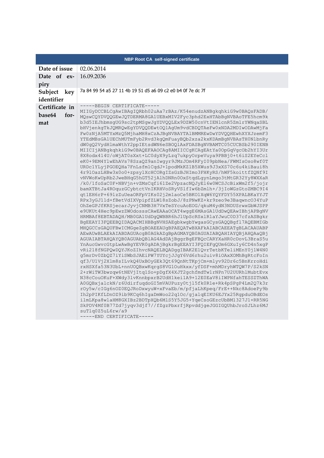|                                         | NBP Root CA self-signed certificate                                                                                                                                                                                                                                                                                                                                                                                                                                                                                                                                                                                                                                                                                                                                                                                                                                                                                                                                                                                                                                                                                                                                                                                                                                                                                                                                                                                                                                                                                                                                                                                                                                                                                                                                                                                                                                                                                                                                                                                                                                                                                                                                                                                                                                                                                                                                                                                                                                                                                                                                                                                          |
|-----------------------------------------|------------------------------------------------------------------------------------------------------------------------------------------------------------------------------------------------------------------------------------------------------------------------------------------------------------------------------------------------------------------------------------------------------------------------------------------------------------------------------------------------------------------------------------------------------------------------------------------------------------------------------------------------------------------------------------------------------------------------------------------------------------------------------------------------------------------------------------------------------------------------------------------------------------------------------------------------------------------------------------------------------------------------------------------------------------------------------------------------------------------------------------------------------------------------------------------------------------------------------------------------------------------------------------------------------------------------------------------------------------------------------------------------------------------------------------------------------------------------------------------------------------------------------------------------------------------------------------------------------------------------------------------------------------------------------------------------------------------------------------------------------------------------------------------------------------------------------------------------------------------------------------------------------------------------------------------------------------------------------------------------------------------------------------------------------------------------------------------------------------------------------------------------------------------------------------------------------------------------------------------------------------------------------------------------------------------------------------------------------------------------------------------------------------------------------------------------------------------------------------------------------------------------------------------------------------------------------------------------------------------------------|
| Date of issue                           | 02.06.2014                                                                                                                                                                                                                                                                                                                                                                                                                                                                                                                                                                                                                                                                                                                                                                                                                                                                                                                                                                                                                                                                                                                                                                                                                                                                                                                                                                                                                                                                                                                                                                                                                                                                                                                                                                                                                                                                                                                                                                                                                                                                                                                                                                                                                                                                                                                                                                                                                                                                                                                                                                                                                   |
| Date of ex-<br>piry                     | 16.09.2036                                                                                                                                                                                                                                                                                                                                                                                                                                                                                                                                                                                                                                                                                                                                                                                                                                                                                                                                                                                                                                                                                                                                                                                                                                                                                                                                                                                                                                                                                                                                                                                                                                                                                                                                                                                                                                                                                                                                                                                                                                                                                                                                                                                                                                                                                                                                                                                                                                                                                                                                                                                                                   |
| Subject key<br>identifier               | 7a 84 99 54 a5 27 11 4b 19 51 d5 a6 09 c2 e0 b4 0f 7e dc 7f                                                                                                                                                                                                                                                                                                                                                                                                                                                                                                                                                                                                                                                                                                                                                                                                                                                                                                                                                                                                                                                                                                                                                                                                                                                                                                                                                                                                                                                                                                                                                                                                                                                                                                                                                                                                                                                                                                                                                                                                                                                                                                                                                                                                                                                                                                                                                                                                                                                                                                                                                                  |
| Certificate in<br>base64<br>for-<br>mat | -----BEGIN CERTIFICATE-----<br>MIIGyDCCBLCqAwIBAqIQRbh02uAa7rBAz/K54enudzANBqkqhkiG9w0BAQsFADB/<br>MQswCQYDVQQGEwJQTDERMA8GA1UEBxMIV2Fyc3phd2ExHTAbBgNVBAoTFE5hcm9k<br>b3d5IEJhbmsgUG9sc2tpMSgwJgYDVQQLEx9DZW50cnVtIENlcnR5ZmlrYWNqaSBL<br>bHVjenkgTkJQMRQwEgYDVQQDEwtOQlAgUm9vdCBDQTAeFw0xNDA2MDIwODAwMjFa<br>Fw0zNjA5MTYxMzQ5MjhaMH8xCzAJBgNVBAYTAlBMMREwDwYDVQQHEwhXYXJzemF3<br>YTEdMBsGA1UEChMUTmFyb2Rvd3kgQmFuayBQb2xza2kxKDAmBgNVBAsTH0N1bnRy<br>dW0gQ2VydHlmaWthY2ppIEtsdWN6eSBOQlAxFDASBgNVBAMTC05CUCBSb290IENB<br>MIICIjANBgkqhkiG9w0BAQEFAAOCAg8AMIICCgKCAgEAtYa0OpGqVgcOb2hYI3Ur<br>8X8odx414U/oWjAT0sXxt+LC0dyX9yLzq7ukpyOrpeVuya9PBBj0+t6iS2EYeCcl<br>eK0+9EM4YlwEhAVs78SzaQZ9anIwgyr9JMzJOm4RFyI09pbNea/FWMIsOso8wf0T<br>URDc1YLyjPGOEQHa7FnLsfm1CqdJ+1podMkKZ1B5XWus9J3xXS70c6u4kiBaui8h<br>4r91OazLHBw3x0o0+zpsy1XcHCORgIZsGzBJHImo3FHKyRS/hWF5koittfZQNf9I<br>vNVWoKwUpRb2JweBHqG5hGT52jAlhDNRn0OxStqdLgynLmgo3tMtGR32Yy8WXXaR<br>/k0/1foSaC0F+NBVjn+vZMsCqfi61Ze2VpzacNQJyEl6w0WCSJcBixWm2f5/jojr<br>bamXTBtJa4ROquzGCybtctVnIKRHVoSRyVSlfIw6bZmlh+/3jIoWGzGtoZMBC9I4<br>qt1EH6rP+691zZuUeaORFpVIKs02j2m1aoCe5BKO1XqW6YQYFDY55XPALBKaYYJT<br>RPx3yGJ11d+fBetVdIXVpipfZLW18sZobJ/8zPNwKZ+kr9zeo9e3BaqwncO34YuP<br>OhZeGPJfKRSjecarJyvjCNMB3H7VxTeSYcuAoEOG/qkuM4ydN3NDUSrwxGbWJSPP<br>e9UKUt4Hec9pEwzZWOdosssCAwEAAaOCAT4wggE6MAsGA1UdDwQEAwIBhjAPBgNV<br>HRMBAf8EBTADAQH/MB0GA1UdDgQWBBR6hJlUpScRSxlR1aYJwuC0D37cfzASBgkr<br>BGEEAYI3FQEEBQIDAQACMIHBBGNVHSAEGbkwgbYwgasGCysGAQQBgf17AQEBMIGb<br>MHQGCCSGAQUFBwICMGgeZgBOAEEAUgBPAEQATwBXAFkAIABCAEEATgBLACAAUABP<br>AEwAUwBLAEkAIABDAGUAcgB0AGkAZgBpAGMAYQB0AGUAIABQAHIAYQBjAHQAaQBj<br>AGUAIABTAHQAYQB0AGUAbQBlAG4AdDAjBggrBgEFBQcCARYXaHR0cDovL3BraS5u<br>YnAucGwvcGtpLwAwBgYEVR0gADAjBgkrBgEEAYI3FQIEFgQUm6GXuIy6CD4n5xgP<br>vRi218fNGPQwDQYJKoZIhvcNAQELBQADggIBAK2E1QvrTetbKTeliMEnY0j1W4N0<br>g5mrDv0ZbQZ7iYiSWbSJAEiPW7YUYcjJJgY6Vd6rhu2uiv8iOAxXOMhBgRtcFoIn<br>qf3/U1Vj2Xlm8sILvkQ4UxBOyGEk3Qt69QnNtTKpjCm+mlyv92Dr6c5BnKrroHdi<br>rxHSXfa53N3UbL+nnUOQBxwKqrgS8VG1OuHkxx/yfDSF+mhMDryhWTQW7P/S2kSN<br>2+rWiTW3bwzqw6tNEVjItq1So+pDgfX4XJT2gchfmdTw1rNPn7U2UURhlMubtEvx<br>N38cCouOKuF+XWdy3lvKnnbpxrB2UdH1kei1A9+12E0EaV8iIWPNfahTESSZThWA<br>A0GQBxjalckN/z6UdirfuqdoGI5mVAUPuzy0tjl5fk0R1e+Rk4pSPgP4Lm2Q7k3r<br>rOy5w/cIGg6nOZ0EQJRoDxwyuW+xFvaEb/m/pfjaLhKpeq/FrE++Nkc8AdoePy9b<br>Ih2pPIKfLDnOZ9ib9KCq6hIgaDmWoo22q1Oc/gjalqEIKU6EJYx25RgpduOBdEOs<br>ilmLKpa8wlaHM8GXIBz2BDTpXQb6MlS5Y5JG5+YqeCsoGEzcUbBM1327J1+RR5NG<br>SkPDV4Mf0B77Zd7jyqv3djf7//fZgzPbxrfjRpvddjgeJGGIGQUhbJroSJLhz6MJ<br>suTlq0Z5uL6rw/a9<br>-----END CERTIFICATE----- |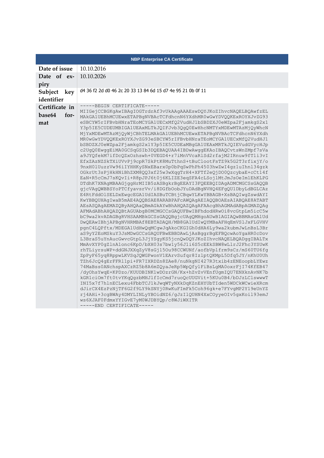| <b>NBP Enterprise CA Certificate</b>    |                                                                                                                                                                                                                                                                                                                                                                                                                                                                                                                                                                                                                                                                                                                                                                                                                                                                                                                                                                                                                                                                                                                                                                                                                                                                                                                                                                                                                                                                                                                                                                                                                                                                                                                                                                                                                                                                                                                                                                                                                                                                                                                                                                                                                                                                                                                                                                                                                                                                                                              |  |  |
|-----------------------------------------|--------------------------------------------------------------------------------------------------------------------------------------------------------------------------------------------------------------------------------------------------------------------------------------------------------------------------------------------------------------------------------------------------------------------------------------------------------------------------------------------------------------------------------------------------------------------------------------------------------------------------------------------------------------------------------------------------------------------------------------------------------------------------------------------------------------------------------------------------------------------------------------------------------------------------------------------------------------------------------------------------------------------------------------------------------------------------------------------------------------------------------------------------------------------------------------------------------------------------------------------------------------------------------------------------------------------------------------------------------------------------------------------------------------------------------------------------------------------------------------------------------------------------------------------------------------------------------------------------------------------------------------------------------------------------------------------------------------------------------------------------------------------------------------------------------------------------------------------------------------------------------------------------------------------------------------------------------------------------------------------------------------------------------------------------------------------------------------------------------------------------------------------------------------------------------------------------------------------------------------------------------------------------------------------------------------------------------------------------------------------------------------------------------------------------------------------------------------------------------------------------------------|--|--|
| Date of issue                           | 10.10.2016                                                                                                                                                                                                                                                                                                                                                                                                                                                                                                                                                                                                                                                                                                                                                                                                                                                                                                                                                                                                                                                                                                                                                                                                                                                                                                                                                                                                                                                                                                                                                                                                                                                                                                                                                                                                                                                                                                                                                                                                                                                                                                                                                                                                                                                                                                                                                                                                                                                                                                   |  |  |
| Date of ex-<br>piry                     | 10.10.2026                                                                                                                                                                                                                                                                                                                                                                                                                                                                                                                                                                                                                                                                                                                                                                                                                                                                                                                                                                                                                                                                                                                                                                                                                                                                                                                                                                                                                                                                                                                                                                                                                                                                                                                                                                                                                                                                                                                                                                                                                                                                                                                                                                                                                                                                                                                                                                                                                                                                                                   |  |  |
| Subject<br>key<br>identifier            | d4 36 f2 2d d0 46 2c 20 33 13 84 6d 15 d7 4e 95 21 0b 0f 11                                                                                                                                                                                                                                                                                                                                                                                                                                                                                                                                                                                                                                                                                                                                                                                                                                                                                                                                                                                                                                                                                                                                                                                                                                                                                                                                                                                                                                                                                                                                                                                                                                                                                                                                                                                                                                                                                                                                                                                                                                                                                                                                                                                                                                                                                                                                                                                                                                                  |  |  |
| Certificate in<br>base64<br>for-<br>mat | -----BEGIN CERTIFICATE-----<br>MIIGejCCBGKgAwIBAgIOGTrdrAf3vUkAAgAAAEswDQYJKoZIhvcNAQELBQAwfzEL<br>MAkGA1UEBhMCUEwxETAPBgNVBAcTCFdhcnN6YXdhMR0wGwYDVQQKExROYXJvZG93<br>eSBCYW5rIFBvbHNraTEoMCYGA1UECxMfQ2VudHJ1bSBDZXJ0eWZpa2FjamkgS2x1<br>Y3p5IE5CUDEUMBIGA1UEAxMLTkJQIFJvb3QgQ0EwHhcNMTYxMDEwMTAzMjQyWhcN<br>MjYxMDEwMTAzMjQyWjCBhTELMAkGA1UEBhMCUEwxETAPBgNVBAcTCFdhcnN6YXdh<br>MR0wGwYDVQQKExROYXJvZG93eSBCYW5rIFBvbHNraTEoMCYGA1UECxMfQ2VudHJ1<br>bSBDZXJ0eWZpa2FjamkgS2x1Y3p5IE5CUDEaMBgGA1UEAxMRTkJQIEVudGVycHJp<br>c2UqQ0EwqqEiMA0GCSqGSIb3DQEBAQUAA4IBDwAwqqEKAoIBAQCvtsWnZMpf7sVa<br>a9JYQfekM7ifDcQZxOzhswh+0VEGD4+r7iMnVVcaRlSd2rfajM2IRnuw9fTli3vI<br>EfxZAzNZSkTXiUVvPj9cpR7SkPtK8MuTthnS+tBuClootFsTZ9k5G2T3rfixjY/o<br>9nxH0lUuzzVw96iIYHHKySNxEBarx0p0bPqSwPhPh4503hwZwI4gz1uIhnl34gzk<br>OGkrUt3sPjHkHNiBhZXM8QQ3xf25w3wXqqTrH4+XFTf2eQjDO0QzcybaE+cCt14f<br>EaN+R5cCmJ7sKQvIi+R8pJPJ6t0j6KLIZE3eqSFA4cLSojlMtJmJsOeIm1EhKLPG<br>DTdhK7XNAgMBAAGjggHrMIIB5zASBgkrBgEEAYI3FQEEBQIDAgADMCMGCSsGAQQB<br>gjcVAgQWBBSYoPTCfyavsrVv/i8DGfbOobJYuDAdBgNVHQ4EFgQU1DbyLdBGLCAz<br>E4RtFdd0lSELDxEwgcEGA1UdIASBuTCBtjCBqwYLKwYBBAGB+XsBAQIwgZswdAYI<br>KwYBBQUHAgIwaB5mAE4AQQBSAE8ARABPAFcAWQAgAEIAQQBOAEsAIABQAE8ATABT<br>AESASQAGAEMAZQByAHQAaQBmAGkAYwBhAHQAZQAGAFAAcgBhAGMAdABpAGMAZQAg<br>AFMAdABhAHQAZQBtAGUAbgB0MCMGCCsGAQUFBwIBFhdodHRwOi8vcGtpLm5icC5w<br>bC9wa2kvADAGBgRVHSAAMBkGCSsGAQQBgjcUAgQMHgoAUwB1AGIAQwBBMAsGA1Ud<br>DwQEAwIBhjAPBgNVHRMBAf8EBTADAQH/MB8GA1UdIwQYMBaAFHqEmVSlJxFLGVHV<br>pgnC4LQPftx/MDEGA1UdHwQqMCgwJqAkoCKGIGh0dHA6Ly9wa2kubmJwLnBsL3Br<br>aS9yY2EoMSkuY3JsMDwGCCsGAQUFBwEBBDAwLjAsBggrBgEFBQcwAoYgaHR0cDov<br>L3BraS5uYnAucGwvcGtpL3JjYSgyKS5jcnQwDQYJKoZIhvcNAQELBQADggIBALTx<br>MmAvXYP0gZlnAlonc6KpD/bXH03s7bw1y56Jli6S5cEEkSBW8wLlrJ2Fhc3YSUwK<br>rhTLiyrsuWP+ddGNJXXqZyV8sGj15Ou98CCWUNf/aofbVplfrm9sCz/mS60TU6fg<br>ZpPyF65yq8RppwLKVSqJQWGPwonV1EArvSufqr8IzlptQKMpL5Dfq5JY/nKhU0Uh<br>TZh6JcQ4gErFFRl1pi+FR7IXRDZn8ZAe8/nuNkgNI427R3txib4zENEoopbLYEwz<br>74MaBss0ANchspAXCzRZ5b8A6mZQyaJeRp5WpQfylFiBsLgMA0oxrFjI74KfEB47<br>/dyOhsYwqE+KPDzo/KUUDBINK1wDOzrGN/Kx+hZvZvVEnfUgmIQU7ENXknAvNK7b<br>kGR1ciOm7ft0tvYKqQgzbMHJlfIcCmd7ruoQcUUGVit+5KUu0B4/bDJzLClswwwT<br>INI5x7f7hlnECLexu4FbbTCJ1kJwqWTyNXkDqKZnEHYUbTIden5WDCkWCwieXRcm<br>dJirCX4EzPzNjTF6G2f9LY9kSNYj0RwKuFImFk5Coh96gk+e7FYvgMP2Y19eUnYZ<br>rj4AHi+3cgBWAy4DMYLINLyYBOidNZ6/gJzIlQUHN4XxCOyyeOIv5gxKoil93emJ<br>ws6XJAF0FdmxYYIGvE7yM0WJDBYQp/c8WJiWXITR<br>-----END CERTIFICATE----- |  |  |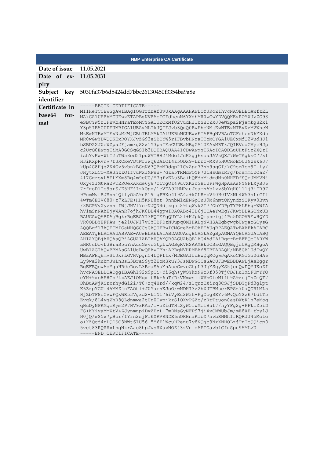|                                         | <b>NBP Enterprise CA Certificate</b>                                                                                                                                                                                                                                                                                                                                                                                                                                                                                                                                                                                                                                                                                                                                                                                                                                                                                                                                                                                                                                                                                                                                                                                                                                                                                                                                                                                                                                                                                                                                                                                                                                                                                                                                                                                                                                                                                                                                                                                                                                                                                                                                                                                                                                                                                                                                                                                                                                                                                                                                                                                                                                                                                                                                                                                                                                                 |
|-----------------------------------------|--------------------------------------------------------------------------------------------------------------------------------------------------------------------------------------------------------------------------------------------------------------------------------------------------------------------------------------------------------------------------------------------------------------------------------------------------------------------------------------------------------------------------------------------------------------------------------------------------------------------------------------------------------------------------------------------------------------------------------------------------------------------------------------------------------------------------------------------------------------------------------------------------------------------------------------------------------------------------------------------------------------------------------------------------------------------------------------------------------------------------------------------------------------------------------------------------------------------------------------------------------------------------------------------------------------------------------------------------------------------------------------------------------------------------------------------------------------------------------------------------------------------------------------------------------------------------------------------------------------------------------------------------------------------------------------------------------------------------------------------------------------------------------------------------------------------------------------------------------------------------------------------------------------------------------------------------------------------------------------------------------------------------------------------------------------------------------------------------------------------------------------------------------------------------------------------------------------------------------------------------------------------------------------------------------------------------------------------------------------------------------------------------------------------------------------------------------------------------------------------------------------------------------------------------------------------------------------------------------------------------------------------------------------------------------------------------------------------------------------------------------------------------------------------------------------------------------------------------------------------------------------|
| Date of issue                           | 11.05.2021                                                                                                                                                                                                                                                                                                                                                                                                                                                                                                                                                                                                                                                                                                                                                                                                                                                                                                                                                                                                                                                                                                                                                                                                                                                                                                                                                                                                                                                                                                                                                                                                                                                                                                                                                                                                                                                                                                                                                                                                                                                                                                                                                                                                                                                                                                                                                                                                                                                                                                                                                                                                                                                                                                                                                                                                                                                                           |
| Date of ex-<br>piry                     | 11.05.2031                                                                                                                                                                                                                                                                                                                                                                                                                                                                                                                                                                                                                                                                                                                                                                                                                                                                                                                                                                                                                                                                                                                                                                                                                                                                                                                                                                                                                                                                                                                                                                                                                                                                                                                                                                                                                                                                                                                                                                                                                                                                                                                                                                                                                                                                                                                                                                                                                                                                                                                                                                                                                                                                                                                                                                                                                                                                           |
| Subject key<br>identifier               | 5030fa37b6d5424dd7bbc26130450f3354ba9a8e                                                                                                                                                                                                                                                                                                                                                                                                                                                                                                                                                                                                                                                                                                                                                                                                                                                                                                                                                                                                                                                                                                                                                                                                                                                                                                                                                                                                                                                                                                                                                                                                                                                                                                                                                                                                                                                                                                                                                                                                                                                                                                                                                                                                                                                                                                                                                                                                                                                                                                                                                                                                                                                                                                                                                                                                                                             |
| Certificate in<br>base64<br>for-<br>mat | -----BEGIN CERTIFICATE-----<br>MIIHeTCCBWGgAwIBAgIOGTrdrAf3vUkAAgAAAHAwDQYJKoZIhvcNAQELBQAwfzEL<br>MAkGA1UEBhMCUEwxETAPBgNVBAcTCFdhcnN6YXdhMR0wGwYDVQQKExROYXJvZG93<br>eSBCYW5rIFBvbHNraTEoMCYGA1UECxMfQ2VudHJ1bSBDZXJ0eWZpa2FjamkgS2x1<br>Y3p5IE5CUDEUMBIGA1UEAxMLTkJQIFJvb3QgQ0EwHhcNMjEwNTExMTExNzM2WhcN<br>MZEWNTExMTExNzM2WjCBhTELMAkGA1UEBhMCUEwxETAPBgNVBAcTCFdhcnN6YXdh<br>MR0wGwYDVQQKExROYXJvZG93eSBCYW5rIFBvbHNraTEoMCYGA1UECxMfQ2VudHJ1<br>bSBDZXJ0eWZpa2FjamkqS2x1Y3p5IE5CUDEaMBqGA1UEAxMRTkJQIEVudGVycHJp<br>c2UqQ0EwqqIiMA0GCSqGSIb3DQEBAQUAA4ICDwAwqqIKAoICAQDLuUHtFizZXQzI<br>ishYvKw+WfI2oTW58ed51puWVTH824MdofJdK3gj6soaJAVsQXJ7WwTAgksC77xf<br>H3iKxpRvnV7f3XCKeVDtWr3Wq62ALCl4z5QDx9+Lrrc+MX85HUCHoEOUJ9zsk6J7<br>kUp4G8Hjg2K4Gx5vbnkBGqN63QBpMRdgp2ICxApu73hh9sqGI/kC9sm7cq9I+iy/<br>JHytxLCQ+MA3hzzQIfvuWx1MFsu+7dza5TRMdPQYF70iHsGmzRrq/bcammi2Qa2/<br>417GgroxL5ELYXm8Bq4m9cUC/Y7gfxELu3Ba+hQFdqMidmdMn0NHFDfSQrJMMVNj<br>Oxy4ZIMtRa2VT2ROekAkde6y87ciTgQz49uvXK2oGHTUPFWgHpAaAsNY9PLXyBJ6<br>7rfgoDlIs9srS/E5HFjIzkOpq/1eVEA92HMPauJoamhAblxx8bYqH0111j3iIR97<br>9PumMvfBJSn51QtfyO5A9nS19iqPBXc419A4a+kCLR+bV40H0IV3Nh4W53hLrGI1<br>4wTm6EIV680+z7kLFE+HH5KNH8xt+9nnbMldENGpOuJ9M6nmtQKyndziQKyv0Bvn<br>/8BCPVvXyzn5lIWjJHVl7orNJQN4djxqut89tqWvk2I77ObYDPpTYP8LE6q+WWIA<br>hV1mSnNAhEjyWAnR7ojhJK0DD44gpwIDAQABo4IB6jCCAeYwEgYJKwYBBAGCNxUB<br>BAUCAwQABDAjBgkrBgEEAYI3FQIEFgQUYL21+KJpkQmyneigj4Ps5DGOV9EwHQYD<br>VR0OBBYEFFAw+je21UJN17vCYTBFDzNUupqOMIHABgNVHSAEgbgwgbUwgaoGCysG<br>AQQBgf17AQECMIGaMHQGCCsGAQUFBwICMGgeZgBOAEEAUgBPAEQATwBXAFkAIABC<br>AEEATGBLACAAUABPAEwAUwBLAEkAIABDAGUAcgB0AGkAZgBpAGMAYQB0AGUAIABQ<br>AHIAYQBjAHQAaQBjAGUAIABTAHQAYQB0AGUAbQBlAG4AdDAiBqqrBqEFBQcCARYW<br>aHR0cDovL3BraS5uYnAucGwvcGtpLzAGBgRVHSAAMBkGCSsGAQQBgjcUAgQMHgoA<br>UwB1AGIAQwBBMAsGA1UdDwQEAwIBhjAPBgNVHRMBAf8EBTADAQH/MB8GA1UdIwQY<br>MBaAFHqEmVSlJxFLGVHVpgnC4LQPftx/MDEGA1UdHwQqMCgwJqAkoCKGIGh0dHA6<br>Ly9wa2kubmJwLnBsL3BraS9yY2EoMSkuY3JsMDwGCCsGAQUFBwEBBDAwLjAsBggr<br>BgEFBQcwAoYgaHR0cDovL3BraS5uYnAucGwvcGtpL3JjYSgyKS5jcnQwDQYJKoZI<br>hvcNAQELBQADggIBAGhl92x9pCi+Yi6qh+yWQYkxNWcRf050TjCDJHu1MiFUmYYQ<br>eYH+9xc8H8Gb74xAEJ1OHqxitRk+6uT/DkVNmwsiiWVnOtcM1fh9A9zcjTnZmQT7<br>DhBuAWjKSrxrhydGi2i/T8+zq4Hrd//kqW24/z1qnzEXirq3CSJjSDDTgFd3glpt<br>K6ZzpYGUf45MMZjnFAO01+J0Yar5KJoO/wNDHI3z2hXJTBMuerEPSz70aQORLML5<br>HjZbTF8rCvwFQxWR53Vgzd2+k1N176iVyEu2W3h+FgOog8EYv6WvQeYSzE7fdtT5<br>Evgk/8L4ygZhR8QLdnmwa2tUr0TypjkzS1OXvPGZc/zRtTtuon0asDWtK1n7eMog<br>qHuDyNPKMqeRym2P7HV9zKAa/l+5ZidTHtSyW5fwMcl8uf7/nyYFq2q+FFklZ5iD<br>FS+KYivaMmWtV4ZJynmnpiDvZEzL+7mDNsGyNFP97jiXvCMWUbJm/mE8XE+tby1J<br>NOjQ/wS5x7pBor/IYrn2sjFfEXRV9NDE6nOKHnaKlbX7nvbRNMhIfRQRJJ45Moto<br>o+XZQcd4nLQDSC3NWt6lU56+5Y6F1WcuHPenu7y8NQjc9NzXNHOLzjTnIcQQicp0<br>5vet83RQRHxLngNkrAac8hpJvsHXuxNOZj3zVnimAEIOavb1CfgSpu95MLzU<br>-----END CERTIFICATE----- |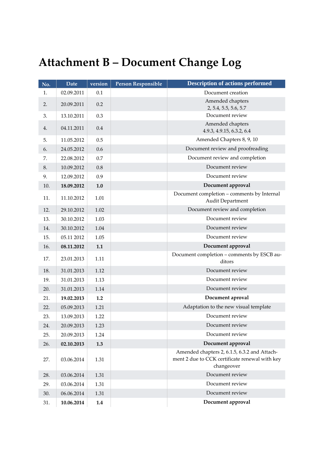# <span id="page-55-0"></span>**Attachment B – Document Change Log**

| No. | <b>Date</b> | version | <b>Person Responsible</b> | <b>Description of actions performed</b>                                                                      |
|-----|-------------|---------|---------------------------|--------------------------------------------------------------------------------------------------------------|
| 1.  | 02.09.2011  | 0.1     |                           | Document creation                                                                                            |
| 2.  | 20.09.2011  | 0.2     |                           | Amended chapters                                                                                             |
|     |             |         |                           | 2, 5.4, 5.5, 5.6, 5.7<br>Document review                                                                     |
| 3.  | 13.10.2011  | 0.3     |                           | Amended chapters                                                                                             |
| 4.  | 04.11.2011  | 0.4     |                           | 4.9.3, 4.9.15, 6.3.2, 6.4                                                                                    |
| 5.  | 11.05.2012  | 0.5     |                           | Amended Chapters 8, 9, 10                                                                                    |
| 6.  | 24.05.2012  | 0.6     |                           | Document review and proofreading                                                                             |
| 7.  | 22.08.2012  | 0.7     |                           | Document review and completion                                                                               |
| 8.  | 10.09.2012  | 0.8     |                           | Document review                                                                                              |
| 9.  | 12.09.2012  | 0.9     |                           | Document review                                                                                              |
| 10. | 18.09.2012  | 1.0     |                           | Document approval                                                                                            |
| 11. | 11.10.2012  | 1.01    |                           | Document completion - comments by Internal<br>Audit Department                                               |
| 12. | 29.10.2012  | 1.02    |                           | Document review and completion                                                                               |
| 13. | 30.10.2012  | 1.03    |                           | Document review                                                                                              |
| 14. | 30.10.2012  | 1.04    |                           | Document review                                                                                              |
| 15. | 05.11 2012  | 1.05    |                           | Document review                                                                                              |
| 16. | 08.11.2012  | 1.1     |                           | Document approval                                                                                            |
| 17. | 23.01.2013  | 1.11    |                           | Document completion - comments by ESCB au-<br>ditors                                                         |
| 18. | 31.01.2013  | 1.12    |                           | Document review                                                                                              |
| 19. | 31.01.2013  | 1.13    |                           | Document review                                                                                              |
| 20. | 31.01.2013  | 1.14    |                           | Document review                                                                                              |
| 21. | 19.02.2013  | 1.2     |                           | Document aproval                                                                                             |
| 22. | 05.09.2013  | 1.21    |                           | Adaptation to the new visual template                                                                        |
| 23. | 13.09.2013  | 1.22    |                           | Document review                                                                                              |
| 24. | 20.09.2013  | 1.23    |                           | Document review                                                                                              |
| 25. | 20.09.2013  | 1.24    |                           | Document review                                                                                              |
| 26. | 02.10.2013  | 1.3     |                           | Document approval                                                                                            |
| 27. | 03.06.2014  | 1.31    |                           | Amended chapters 2, 6.1.5, 6.3.2 and Attach-<br>ment 2 due to CCK certificate renewal with key<br>changeover |
| 28. | 03.06.2014  | 1.31    |                           | Document review                                                                                              |
| 29. | 03.06.2014  | 1.31    |                           | Document review                                                                                              |
| 30. | 06.06.2014  | 1.31    |                           | Document review                                                                                              |
| 31. | 10.06.2014  | 1.4     |                           | Document approval                                                                                            |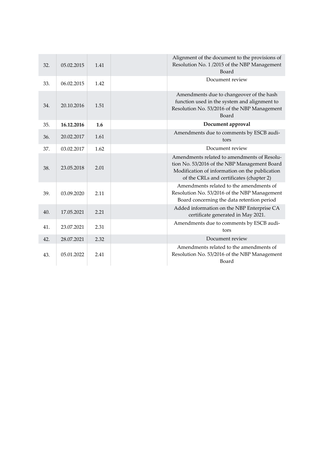| 32. | 05.02.2015 | 1.41 | Alignment of the document to the provisions of<br>Resolution No. 1/2015 of the NBP Management<br>Board                                                                                    |
|-----|------------|------|-------------------------------------------------------------------------------------------------------------------------------------------------------------------------------------------|
| 33. | 06.02.2015 | 1.42 | Document review                                                                                                                                                                           |
| 34. | 20.10.2016 | 1.51 | Amendments due to changeover of the hash<br>function used in the system and alignment to<br>Resolution No. 53/2016 of the NBP Management<br>Board                                         |
| 35. | 16.12.2016 | 1.6  | Document approval                                                                                                                                                                         |
| 36. | 20.02.2017 | 1.61 | Amendments due to comments by ESCB audi-<br>tors                                                                                                                                          |
| 37. | 03.02.2017 | 1.62 | Document review                                                                                                                                                                           |
| 38. | 23.05.2018 | 2.01 | Amendments related to amendments of Resolu-<br>tion No. 53/2016 of the NBP Management Board<br>Modification of information on the publication<br>of the CRLs and certificates (chapter 2) |
| 39. | 03.09.2020 | 2.11 | Amendments related to the amendments of<br>Resolution No. 53/2016 of the NBP Management<br>Board concerning the data retention period                                                     |
| 40. | 17.05.2021 | 2.21 | Added information on the NBP Enterprise CA<br>certificate generated in May 2021.                                                                                                          |
| 41. | 23.07.2021 | 2.31 | Amendments due to comments by ESCB audi-<br>tors                                                                                                                                          |
| 42. | 28.07.2021 | 2.32 | Document review                                                                                                                                                                           |
| 43. | 05.01.2022 | 2.41 | Amendments related to the amendments of<br>Resolution No. 53/2016 of the NBP Management<br>Board                                                                                          |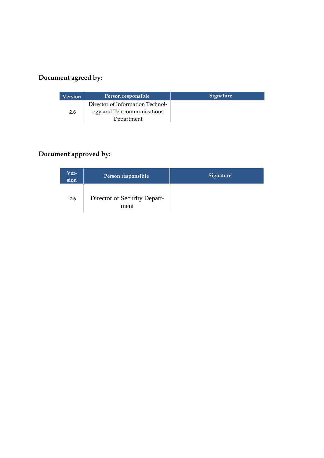## **Document agreed by:**

| <b>Version</b> | Person responsible                                             | <b>Signature</b> |
|----------------|----------------------------------------------------------------|------------------|
| 2.6            | Director of Information Technol-<br>ogy and Telecommunications |                  |
|                | Department                                                     |                  |

## **Document approved by:**

| Ver-<br>sion | Person responsible                   | <b>Signature</b> |
|--------------|--------------------------------------|------------------|
| 2.6          | Director of Security Depart-<br>ment |                  |